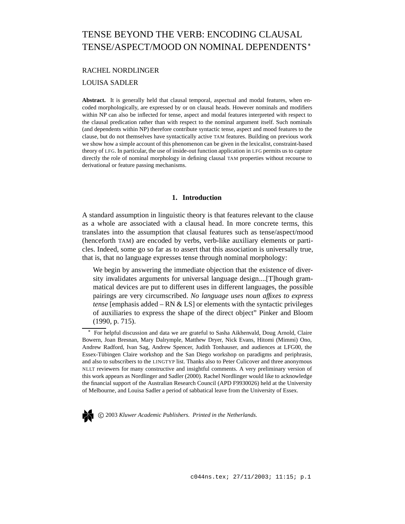# TENSE BEYOND THE VERB: ENCODING CLAUSAL TENSE/ASPECT/MOOD ON NOMINAL DEPENDENTS

# RACHEL NORDLINGER

## LOUISA SADLER

Abstract. It is generally held that clausal temporal, aspectual and modal features, when encoded morphologically, are expressed by or on clausal heads. However nominals and modifiers within NP can also be inflected for tense, aspect and modal features interpreted with respect to the clausal predication rather than with respect to the nominal argument itself. Such nominals (and dependents within NP) therefore contribute syntactic tense, aspect and mood features to the clause, but do not themselves have syntactically active TAM features. Building on previous work we show how a simple account of this phenomenon can be given in the lexicalist, constraint-based theory of LFG. In particular, the use of inside-out function application in LFG permits us to capture directly the role of nominal morphology in defining clausal TAM properties without recourse to derivational or feature passing mechanisms.

# **1. Introduction**

A standard assumption in linguistic theory is that features relevant to the clause as a whole are associated with a clausal head. In more concrete terms, this translates into the assumption that clausal features such as tense/aspect/mood (henceforth TAM) are encoded by verbs, verb-like auxiliary elements or particles. Indeed, some go so far as to assert that this association is universally true, that is, that no language expresses tense through nominal morphology:

We begin by answering the immediate objection that the existence of diversity invalidates arguments for universal language design....[T]hough grammatical devices are put to different uses in different languages, the possible pairings are very circumscribed. *No language uses noun affixes to express tense* [emphasis added – RN & LS] or elements with the syntactic privileges of auxiliaries to express the shape of the direct object" Pinker and Bloom (1990, p. 715).

For helpful discussion and data we are grateful to Sasha Aikhenvald, Doug Arnold, Claire Bowern, Joan Bresnan, Mary Dalrymple, Matthew Dryer, Nick Evans, Hitomi (Mimmi) Ono, Andrew Radford, Ivan Sag, Andrew Spencer, Judith Tonhauser, and audiences at LFG00, the Essex-Tübingen Claire workshop and the San Diego workshop on paradigms and periphrasis, and also to subscribers to the LINGTYP list. Thanks also to Peter Culicover and three anonymous NLLT reviewers for many constructive and insightful comments. A very preliminary version of this work appears as Nordlinger and Sadler (2000). Rachel Nordlinger would like to acknowledge the financial support of the Australian Research Council (APD F9930026) held at the University of Melbourne, and Louisa Sadler a period of sabbatical leave from the University of Essex.



 $\odot$  2003 *Kluwer Academic Publishers. Printed in the Netherlands.*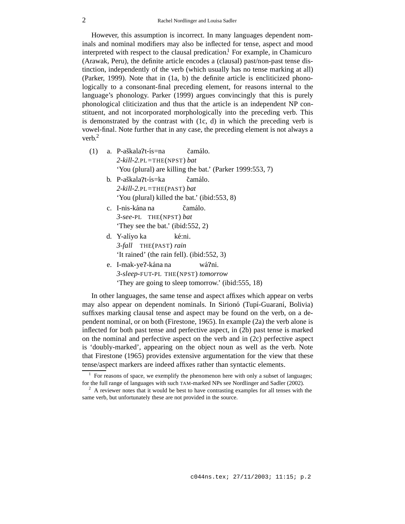However, this assumption is incorrect. In many languages dependent nominals and nominal modifiers may also be inflected for tense, aspect and mood interpreted with respect to the clausal predication.<sup>1</sup> For example, in Chamicuro (Arawak, Peru), the definite article encodes a (clausal) past/non-past tense distinction, independently of the verb (which usually has no tense marking at all) (Parker, 1999). Note that in (1a, b) the definite article is encliticized phonologically to a consonant-final preceding element, for reasons internal to the language's phonology. Parker (1999) argues convincingly that this is purely phonological cliticization and thus that the article is an independent NP constituent, and not incorporated morphologically into the preceding verb. This is demonstrated by the contrast with (1c, d) in which the preceding verb is vowel-final. Note further that in any case, the preceding element is not always a verb. 2

 $(1)$  a. P-aškala?t-ís=na *2-kill-2.*PL*=*THE(NPST) *bat* čamálo. 'You (plural) are killing the bat.' (Parker 1999:553, 7) b. P-aškala? $t$ -ís=ka *2-kill-2.*PL*=*THE(PAST) *bat* čamálo. 'You (plural) killed the bat.' (ibid:553, 8) c. I-nis-kána na *3-see-*PL THE(NPST) *bat* čamálo. 'They see the bat.' (ibid:552, 2) d. Y-alíyo ka *3-fall* THE(PAST) *rain* ké:ni. 'It rained' (the rain fell). (ibid:552, 3) e. I-mak-ye?-kána na *3-sleep-*FUT-PL THE(NPST) *tomorrow* wá?ni. 'They are going to sleep tomorrow.' (ibid:555, 18)

In other languages, the same tense and aspect affixes which appear on verbs may also appear on dependent nominals. In Sirionó (Tupí-Guaraní, Bolivia) suffixes marking clausal tense and aspect may be found on the verb, on a dependent nominal, or on both (Firestone, 1965). In example (2a) the verb alone is inflected for both past tense and perfective aspect, in (2b) past tense is marked on the nominal and perfective aspect on the verb and in (2c) perfective aspect is 'doubly-marked', appearing on the object noun as well as the verb. Note that Firestone (1965) provides extensive argumentation for the view that these tense/aspect markers are indeed affixes rather than syntactic elements.

<sup>1</sup> For reasons of space, we exemplify the phenomenon here with only a subset of languages; for the full range of languages with such TAM-marked NPs see Nordlinger and Sadler (2002).

 $2<sup>2</sup>$  A reviewer notes that it would be best to have contrasting examples for all tenses with the same verb, but unfortunately these are not provided in the source.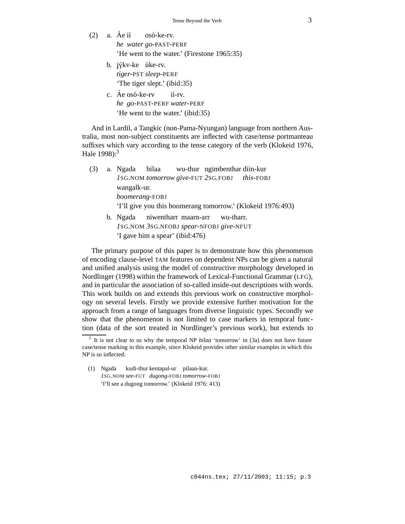|  |                    | $(2)$ a. Áe ií osó-ke-rv.                   |
|--|--------------------|---------------------------------------------|
|  |                    | he water go-PAST-PERF                       |
|  |                    | 'He went to the water.' (Firestone 1965:35) |
|  | b. jýkv-ke úke-rv. |                                             |

- *tiger-*PST *sleep-*PERF 'The tiger slept.' (ibid:35) c. Áe osó-ke-rv ií-rv.
- *he go-*PAST-PERF *water-*PERF 'He went to the water.' (ibid:35)

And in Lardil, a Tangkic (non-Pama-Nyungan) language from northern Australia, most non-subject constituents are inflected with case/tense portmanteau suffixes which vary according to the tense category of the verb (Klokeid 1976, Hale 1998):<sup>3</sup>

- (3) a. Ngada *1*SG*.*NOM *tomorrow give-*FUT *2*SG*.*FOBJ bilaa wu-thur ngimbenthar diin-kur *this-*FOBJ wangalk-ur. *boomerang-*FOBJ 'I'll give you this boomerang tomorrow.' (Klokeid 1976:493)
	- b. Ngada *1*SG*.*NOM *3*SG*.*NFOBJ *spear-*NFOBJ *give-*NFUT niwentharr maarn-arr wu-tharr. 'I gave him a spear' (ibid:476)

The primary purpose of this paper is to demonstrate how this phenomenon of encoding clause-level TAM features on dependent NPs can be given a natural and unified analysis using the model of constructive morphology developed in Nordlinger (1998) within the framework of Lexical-Functional Grammar (LFG), and in particular the association of so-called inside-out descriptions with words. This work builds on and extends this previous work on constructive morphology on several levels. Firstly we provide extensive further motivation for the approach from a range of languages from diverse linguistic types. Secondly we show that the phenomenon is not limited to case markers in temporal function (data of the sort treated in Nordlinger's previous work), but extends to

(1) Ngada *1*SG.NOM *see-*FUT *dugong-*FOBJ *tomorrow-*FOBJ kudi-thur kentapal-ur pilaan-kur. 'I'll see a dugong tomorrow.' (Klokeid 1976: 413)

<sup>3</sup> It is not clear to us why the temporal NP *bilaa* 'tomorrow' in (3a) does not have future case/tense marking in this example, since Klokeid provides other similar examples in which this NP is so inflected: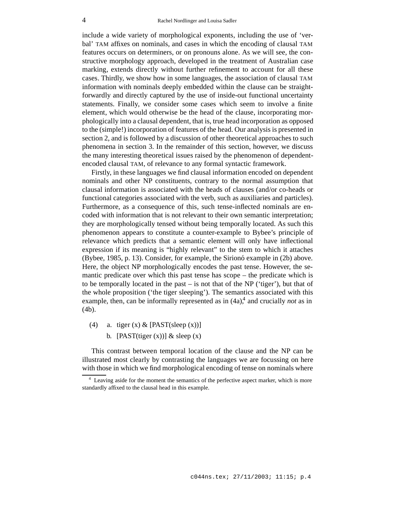include a wide variety of morphological exponents, including the use of 'verbal' TAM affixes on nominals, and cases in which the encoding of clausal TAM features occurs on determiners, or on pronouns alone. As we will see, the constructive morphology approach, developed in the treatment of Australian case marking, extends directly without further refinement to account for all these cases. Thirdly, we show how in some languages, the association of clausal TAM information with nominals deeply embedded within the clause can be straightforwardly and directly captured by the use of inside-out functional uncertainty statements. Finally, we consider some cases which seem to involve a finite element, which would otherwise be the head of the clause, incorporating morphologically into a clausal dependent, that is, true head incorporation as opposed to the (simple!) incorporation of features of the head. Our analysis is presented in section 2, and is followed by a discussion of other theoretical approaches to such phenomena in section 3. In the remainder of this section, however, we discuss the many interesting theoretical issues raised by the phenomenon of dependentencoded clausal TAM, of relevance to any formal syntactic framework.

Firstly, in these languages we find clausal information encoded on dependent nominals and other NP constituents, contrary to the normal assumption that clausal information is associated with the heads of clauses (and/or co-heads or functional categories associated with the verb, such as auxiliaries and particles). Furthermore, as a consequence of this, such tense-inflected nominals are encoded with information that is not relevant to their own semantic interpretation; they are morphologically tensed without being temporally located. As such this phenomenon appears to constitute a counter-example to Bybee's principle of relevance which predicts that a semantic element will only have inflectional expression if its meaning is "highly relevant" to the stem to which it attaches (Bybee, 1985, p. 13). Consider, for example, the Sirionó example in  $(2b)$  above. Here, the object NP morphologically encodes the past tense. However, the semantic predicate over which this past tense has scope – the predicate which is to be temporally located in the past – is not that of the NP ('tiger'), but that of the whole proposition ('the tiger sleeping'). The semantics associated with this example, then, can be informally represented as in  $(4a)$ ,<sup>4</sup> and crucially *not* as in (4b).

- (4) a. tiger (x) &  $[PAST(sleep(x))]$ 
	- b. [PAST(tiger  $(x)$ )] & sleep  $(x)$

This contrast between temporal location of the clause and the NP can be illustrated most clearly by contrasting the languages we are focussing on here with those in which we find morphological encoding of tense on nominals where

Leaving aside for the moment the semantics of the perfective aspect marker, which is more standardly affixed to the clausal head in this example.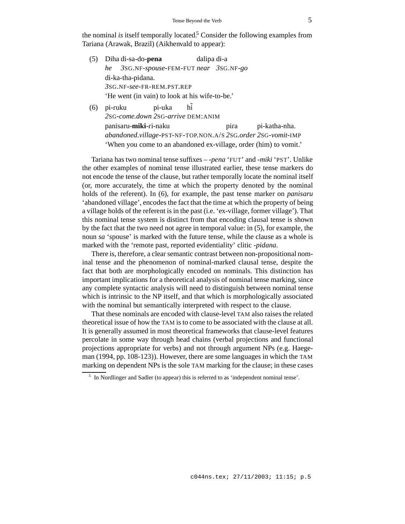the nominal *is* itself temporally located.<sup>5</sup> Consider the following examples from Tariana (Arawak, Brazil) (Aikhenvald to appear):

- (5) Diha di-sa-do-**pena** *he 3*SG.NF*-spouse-*FEM-FUT *near 3*SG.NF*-go* dalipa di-a di-ka-tha-pidana. *3*SG.NF*-see-*FR-REM.PST.REP 'He went (in vain) to look at his wife-to-be.'
- $(6)$  pi-ruku *2*SG*-come.down 2*SG*-arrive* DEM:ANIM pi-uka h˜i panisaru-**miki**-i-naku *abandoned.village-*PST-NF-TOP.NON.A/S *2*SG*.order 2*SG*-vomit-*IMP pira pi-katha-nha. 'When you come to an abandoned ex-village, order (him) to vomit.'

Tariana has two nominal tense suffixes – *-pena* 'FUT' and *-miki* 'PST'. Unlike the other examples of nominal tense illustrated earlier, these tense markers do not encode the tense of the clause, but rather temporally locate the nominal itself (or, more accurately, the time at which the property denoted by the nominal holds of the referent). In (6), for example, the past tense marker on *panisaru* 'abandoned village', encodes the fact that the time at which the property of being a village holds of the referent is in the past (i.e. 'ex-village, former village'). That this nominal tense system is distinct from that encoding clausal tense is shown by the fact that the two need not agree in temporal value: in (5), for example, the noun *sa* 'spouse' is marked with the future tense, while the clause as a whole is marked with the 'remote past, reported evidentiality' clitic *-pidana*.

There is, therefore, a clear semantic contrast between non-propositional nominal tense and the phenomenon of nominal-marked clausal tense, despite the fact that both are morphologically encoded on nominals. This distinction has important implications for a theoretical analysis of nominal tense marking, since any complete syntactic analysis will need to distinguish between nominal tense which is intrinsic to the NP itself, and that which is morphologically associated with the nominal but semantically interpreted with respect to the clause.

That these nominals are encoded with clause-level TAM also raises the related theoretical issue of how the TAM is to come to be associated with the clause at all. It is generally assumed in most theoretical frameworks that clause-level features percolate in some way through head chains (verbal projections and functional projections appropriate for verbs) and not through argument NPs (e.g. Haegeman (1994, pp. 108-123)). However, there are some languages in which the TAM marking on dependent NPs is the sole TAM marking for the clause; in these cases

<sup>5</sup> In Nordlinger and Sadler (to appear) this is referred to as 'independent nominal tense'.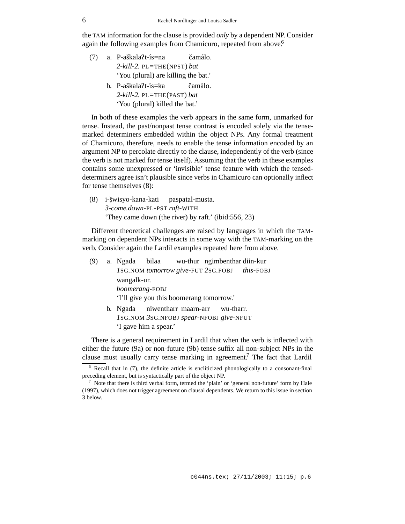the TAM information for the clause is provided *only* by a dependent NP. Consider again the following examples from Chamicuro, repeated from above.<sup>6</sup>

- $(7)$  a. P-aškala?t-ís=na *2-kill-2.* PL*=*THE(NPST) *bat* čamálo. 'You (plural) are killing the bat.'
	- $b.$  P-aškala?t-ís=ka *2-kill-2.* PL*=*THE(PAST) *bat* čamálo. 'You (plural) killed the bat.'

In both of these examples the verb appears in the same form, unmarked for tense. Instead, the past/nonpast tense contrast is encoded solely via the tensemarked determiners embedded within the object NPs. Any formal treatment of Chamicuro, therefore, needs to enable the tense information encoded by an argument NP to percolate directly to the clause, independently of the verb (since the verb is not marked for tense itself). Assuming that the verb in these examples contains some unexpressed or 'invisible' tense feature with which the tenseddeterminers agree isn't plausible since verbs in Chamicuro can optionally inflect for tense themselves (8):

(8) i-šwisyo-kana-kati *3-come.down-*PL-PST *raft-*WITH paspatal-musta. 'They came down (the river) by raft.' (ibid:556, 23)

Different theoretical challenges are raised by languages in which the TAMmarking on dependent NPs interacts in some way with the TAM-marking on the verb. Consider again the Lardil examples repeated here from above.

- (9) a. Ngada *1*SG*.*NOM *tomorrow give-*FUT *2*SG*.*FOBJ bilaa wu-thur ngimbenthar diin-kur *this-*FOBJ wangalk-ur. *boomerang-*FOBJ 'I'll give you this boomerang tomorrow.'
	- b. Ngada *1*SG*.*NOM *3*SG*.*NFOBJ *spear-*NFOBJ *give-*NFUT niwentharr maarn-arr wu-tharr. 'I gave him a spear.'

There is a general requirement in Lardil that when the verb is inflected with either the future (9a) or non-future (9b) tense suffix all non-subject NPs in the clause must usually carry tense marking in agreement.<sup>7</sup> The fact that Lardil

Recall that in (7), the definite article is encliticized phonologically to a consonant-final preceding element, but is syntactically part of the object NP.

 $<sup>7</sup>$  Note that there is third verbal form, termed the 'plain' or 'general non-future' form by Hale</sup> (1997), which does not trigger agreement on clausal dependents. We return to this issue in section 3 below.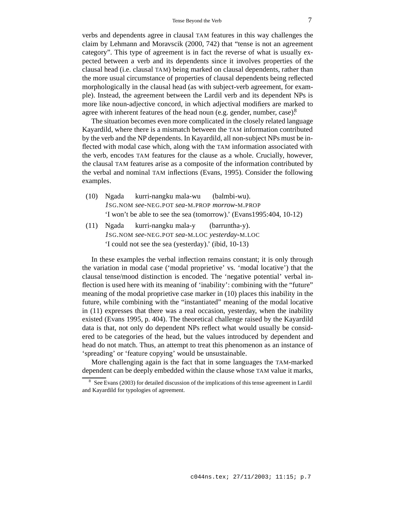verbs and dependents agree in clausal TAM features in this way challenges the claim by Lehmann and Moravscik (2000, 742) that "tense is not an agreement category". This type of agreement is in fact the reverse of what is usually expected between a verb and its dependents since it involves properties of the clausal head (i.e. clausal TAM) being marked on clausal dependents, rather than the more usual circumstance of properties of clausal dependents being reflected morphologically in the clausal head (as with subject-verb agreement, for example). Instead, the agreement between the Lardil verb and its dependent NPs is more like noun-adjective concord, in which adjectival modifiers are marked to agree with inherent features of the head noun (e.g. gender, number, case).<sup>8</sup>

The situation becomes even more complicated in the closely related language Kayardild, where there is a mismatch between the TAM information contributed by the verb and the NP dependents. In Kayardild, all non-subject NPs must be inflected with modal case which, along with the TAM information associated with the verb, encodes TAM features for the clause as a whole. Crucially, however, the clausal TAM features arise as a composite of the information contributed by the verbal and nominal TAM inflections (Evans, 1995). Consider the following examples.

- (10) Ngada *1*SG.NOM *see-*NEG.POT *sea-*M.PROP *morrow-*M.PROP kurri-nangku mala-wu (balmbi-wu). 'I won't be able to see the sea (tomorrow).' (Evans1995:404, 10-12)
- (11) Ngada *1*SG.NOM *see-*NEG.POT *sea-*M.LOC *yesterday-*M.LOC kurri-nangku mala-y (barruntha-y). 'I could not see the sea (yesterday).' (ibid, 10-13)

In these examples the verbal inflection remains constant; it is only through the variation in modal case ('modal proprietive' vs. 'modal locative') that the clausal tense/mood distinction is encoded. The 'negative potential' verbal inflection is used here with its meaning of 'inability': combining with the "future" meaning of the modal proprietive case marker in (10) places this inability in the future, while combining with the "instantiated" meaning of the modal locative in (11) expresses that there was a real occasion, yesterday, when the inability existed (Evans 1995, p. 404). The theoretical challenge raised by the Kayardild data is that, not only do dependent NPs reflect what would usually be considered to be categories of the head, but the values introduced by dependent and head do not match. Thus, an attempt to treat this phenomenon as an instance of 'spreading' or 'feature copying' would be unsustainable.

More challenging again is the fact that in some languages the TAM-marked dependent can be deeply embedded within the clause whose TAM value it marks,

<sup>8</sup> See Evans (2003) for detailed discussion of the implications of this tense agreement in Lardil and Kayardild for typologies of agreement.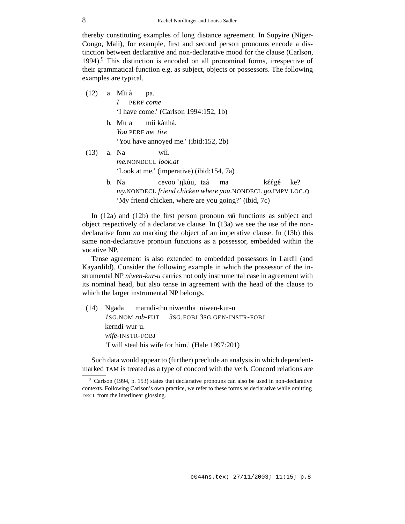thereby constituting examples of long distance agreement. In Supyire (Niger-Congo, Mali), for example, first and second person pronouns encode a distinction between declarative and non-declarative mood for the clause (Carlson, 1994).<sup>9</sup> This distinction is encoded on all pronominal forms, irrespective of their grammatical function e.g. as subject, objects or possessors. The following examples are typical.

(12) a. Mii à *I* PERF *come* pa. 'I have come.' (Carlson 1994:152, 1b)

- b. Mu a *You* PERF *me tire* mìì kánhá. 'You have annoyed me.' (ibid:152, 2b)
- (13) a. Na *me.*NONDECL *look.at* wìì. 'Look at me.' (imperative) (ibid:154, 7a)
	- b. Na *my.*NONDECL *friend chicken where you.*NONDECL *go.*IMPV LOC.Q cevoo `ŋkùu, taá ma kéégé ke ke? 'My friend chicken, where are you going?' (ibid, 7c)

In (12a) and (12b) the first person pronoun *mii* functions as subject and object respectively of a declarative clause. In (13a) we see the use of the nondeclarative form *na* marking the object of an imperative clause. In (13b) this same non-declarative pronoun functions as a possessor, embedded within the vocative NP.

Tense agreement is also extended to embedded possessors in Lardil (and Kayardild). Consider the following example in which the possessor of the instrumental NP *niwen-kur-u* carries not only instrumental case in agreement with its nominal head, but also tense in agreement with the head of the clause to which the larger instrumental NP belongs.

(14) Ngada *1*SG.NOM *rob-*FUT marndi-thu niwentha niwen-kur-u *3*SG.FOBJ *3*SG*.*GEN-INSTR-FOBJ kerndi-wur-u. *wife-*INSTR-FOBJ 'I will steal his wife for him.' (Hale 1997:201)

Such data would appear to (further) preclude an analysis in which dependentmarked TAM is treated as a type of concord with the verb. Concord relations are

Carlson (1994, p. 153) states that declarative pronouns can also be used in non-declarative contexts. Following Carlson's own practice, we refer to these forms as declarative while omitting DECL from the interlinear glossing.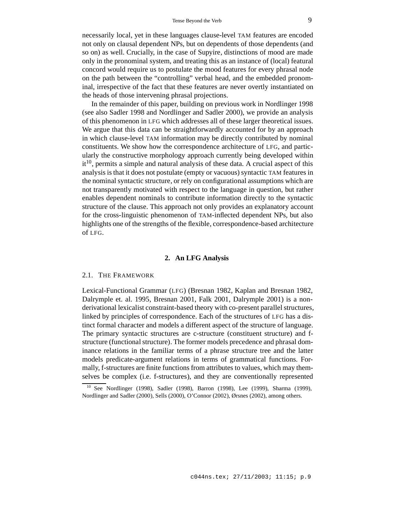necessarily local, yet in these languages clause-level TAM features are encoded not only on clausal dependent NPs, but on dependents of those dependents (and so on) as well. Crucially, in the case of Supyire, distinctions of mood are made only in the pronominal system, and treating this as an instance of (local) featural concord would require us to postulate the mood features for every phrasal node on the path between the "controlling" verbal head, and the embedded pronominal, irrespective of the fact that these features are never overtly instantiated on the heads of those intervening phrasal projections.

In the remainder of this paper, building on previous work in Nordlinger 1998 (see also Sadler 1998 and Nordlinger and Sadler 2000), we provide an analysis of this phenomenon in LFG which addresses all of these larger theoretical issues. We argue that this data can be straightforwardly accounted for by an approach in which clause-level TAM information may be directly contributed by nominal constituents. We show how the correspondence architecture of LFG, and particularly the constructive morphology approach currently being developed within it<sup>10</sup>, permits a simple and natural analysis of these data. A crucial aspect of this analysis is that it does not postulate (empty or vacuous) syntactic TAM features in the nominal syntactic structure, or rely on configurational assumptions which are not transparently motivated with respect to the language in question, but rather enables dependent nominals to contribute information directly to the syntactic structure of the clause. This approach not only provides an explanatory account for the cross-linguistic phenomenon of TAM-inflected dependent NPs, but also highlights one of the strengths of the flexible, correspondence-based architecture of LFG.

#### **2. An LFG Analysis**

#### 2.1. THE FRAMEWORK

Lexical-Functional Grammar (LFG) (Bresnan 1982, Kaplan and Bresnan 1982, Dalrymple et. al. 1995, Bresnan 2001, Falk 2001, Dalrymple 2001) is a nonderivational lexicalist constraint-based theory with co-present parallel structures, linked by principles of correspondence. Each of the structures of LFG has a distinct formal character and models a different aspect of the structure of language. The primary syntactic structures are c-structure (constituent structure) and fstructure (functional structure). The former models precedence and phrasal dominance relations in the familiar terms of a phrase structure tree and the latter models predicate-argument relations in terms of grammatical functions. Formally, f-structures are finite functions from attributes to values, which may themselves be complex (i.e. f-structures), and they are conventionally represented

<sup>10</sup> See Nordlinger (1998), Sadler (1998), Barron (1998), Lee (1999), Sharma (1999), Nordlinger and Sadler (2000), Sells (2000), O'Connor (2002), Ørsnes (2002), among others.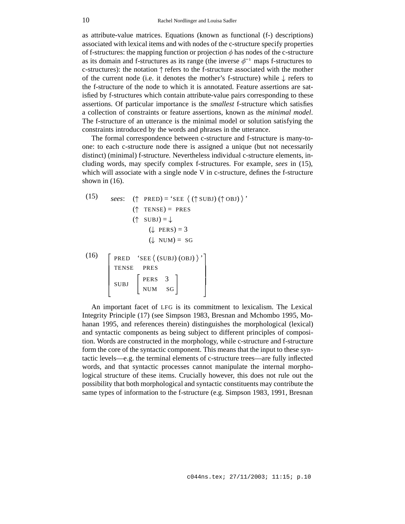as attribute-value matrices. Equations (known as functional (f-) descriptions) associated with lexical items and with nodes of the c-structure specify properties of f-structures: the mapping function or projection  $\phi$  has nodes of the c-structure as its domain and f-structures as its range (the inverse  $\phi^{-1}$  maps f-structures to c-structures): the notation  $\uparrow$  refers to the f-structure associated with the mother of the current node (i.e. it denotes the mother's f-structure) while  $\downarrow$  refers to the f-structure of the node to which it is annotated. Feature assertions are satisfied by f-structures which contain attribute-value pairs corresponding to these assertions. Of particular importance is the *smallest* f-structure which satisfies a collection of constraints or feature assertions, known as the *minimal model*. The f-structure of an utterance is the minimal model or solution satisfying the constraints introduced by the words and phrases in the utterance.

The formal correspondence between c-structure and f-structure is many-toone: to each c-structure node there is assigned a unique (but not necessarily distinct) (minimal) f-structure. Nevertheless individual c-structure elements, including words, may specify complex f-structures. For example, *sees* in (15), which will associate with a single node V in c-structure, defines the f-structure shown in (16).

(15) *sees*: 
$$
(\uparrow
$$
 PRED) = 'SEE  $(\uparrow$  SUBJ)  $(\uparrow$  OBJ)  $)$   
\n( $\uparrow$  TENSE) = PRES  
\n( $\uparrow$  SUBJ) =  $\downarrow$   
\n( $\downarrow$  PERS) = 3  
\n( $\downarrow$  NUM) = SG  
\n(16)  $\left[\begin{array}{cc} PRED & 'SEE \ (SUBJ) (OBJ) \end{array}\right]'$ 

$$
\begin{bmatrix}\n\text{TENSE} & \text{PRES} \\
\text{SUBJ} & \begin{bmatrix}\n\text{PERS} & 3 \\
\text{NUM} & \text{SG}\n\end{bmatrix}\n\end{bmatrix}
$$

An important facet of LFG is its commitment to lexicalism. The Lexical Integrity Principle (17) (see Simpson 1983, Bresnan and Mchombo 1995, Mohanan 1995, and references therein) distinguishes the morphological (lexical) and syntactic components as being subject to different principles of composition. Words are constructed in the morphology, while c-structure and f-structure form the core of the syntactic component. This means that the input to these syntactic levels—e.g. the terminal elements of c-structure trees—are fully inflected words, and that syntactic processes cannot manipulate the internal morphological structure of these items. Crucially however, this does not rule out the possibility that both morphological and syntactic constituents may contribute the same types of information to the f-structure (e.g. Simpson 1983, 1991, Bresnan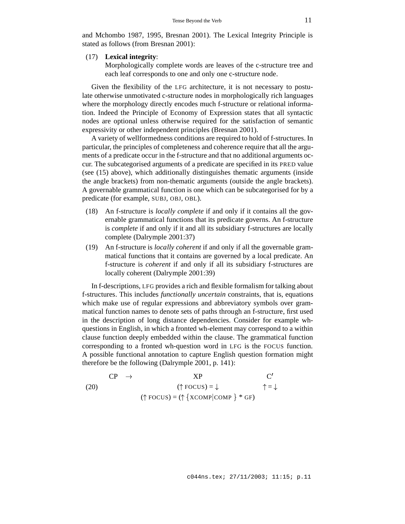and Mchombo 1987, 1995, Bresnan 2001). The Lexical Integrity Principle is stated as follows (from Bresnan 2001):

# (17) **Lexical integrity**:

Morphologically complete words are leaves of the c-structure tree and each leaf corresponds to one and only one c-structure node.

Given the flexibility of the LFG architecture, it is not necessary to postulate otherwise unmotivated c-structure nodes in morphologically rich languages where the morphology directly encodes much f-structure or relational information. Indeed the Principle of Economy of Expression states that all syntactic nodes are optional unless otherwise required for the satisfaction of semantic expressivity or other independent principles (Bresnan 2001).

A variety of wellformedness conditions are required to hold of f-structures. In particular, the principles of completeness and coherence require that all the arguments of a predicate occur in the f-structure and that no additional arguments occur. The subcategorised arguments of a predicate are specified in its PRED value (see (15) above), which additionally distinguishes thematic arguments (inside the angle brackets) from non-thematic arguments (outside the angle brackets). A governable grammatical function is one which can be subcategorised for by a predicate (for example, SUBJ, OBJ, OBL).

- (18) An f-structure is *locally complete* if and only if it contains all the governable grammatical functions that its predicate governs. An f-structure is *complete* if and only if it and all its subsidiary f-structures are locally complete (Dalrymple 2001:37)
- (19) An f-structure is *locally coherent* if and only if all the governable grammatical functions that it contains are governed by a local predicate. An f-structure is *coherent* if and only if all its subsidiary f-structures are locally coherent (Dalrymple 2001:39)

In f-descriptions, LFG provides a rich and flexible formalism for talking about f-structures. This includes *functionally uncertain* constraints, that is, equations which make use of regular expressions and abbreviatory symbols over grammatical function names to denote sets of paths through an f-structure, first used in the description of long distance dependencies. Consider for example whquestions in English, in which a fronted wh-element may correspond to a within clause function deeply embedded within the clause. The grammatical function corresponding to a fronted wh-question word in LFG is the FOCUS function. A possible functional annotation to capture English question formation might therefore be the following (Dalrymple 2001, p. 141):

$$
CP \rightarrow \text{XP} \qquad C'
$$
  
(20) 
$$
(\uparrow \text{FOCUS}) = \downarrow \qquad \uparrow = \downarrow
$$

$$
(\uparrow \text{FOCUS}) = (\uparrow \{\text{XCOMP}|\text{COMP}\} * \text{GF})
$$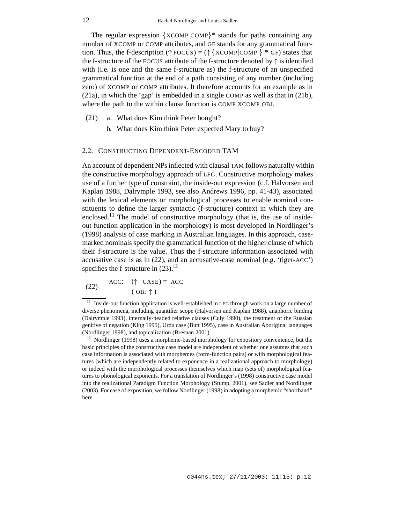The regular expression  ${XCOMP|COMP}^*$  stands for paths containing any number of XCOMP or COMP attributes, and GF stands for any grammatical function. Thus, the f-description ( $\uparrow$  FOCUS) = ( $\uparrow$  {XCOMP | COMP } \* GF) states that the f-structure of the FOCUS attribute of the f-structure denoted by  $\uparrow$  is identified with (i.e. is one and the same f-structure as) the f-structure of an unspecified grammatical function at the end of a path consisting of any number (including zero) of XCOMP or COMP attributes. It therefore accounts for an example as in (21a), in which the 'gap' is embedded in a single COMP as well as that in (21b), where the path to the within clause function is COMP XCOMP OBJ.

- (21) a. What does Kim think Peter bought?
	- b. What does Kim think Peter expected Mary to buy?

### 2.2. CONSTRUCTING DEPENDENT-ENCODED TAM

An account of dependent NPs inflected with clausal TAM follows naturally within the constructive morphology approach of LFG. Constructive morphology makes use of a further type of constraint, the inside-out expression (c.f. Halvorsen and Kaplan 1988, Dalrymple 1993, see also Andrews 1996, pp. 41-43), associated with the lexical elements or morphological processes to enable nominal constituents to define the larger syntactic (f-structure) context in which they are enclosed.<sup>11</sup> The model of constructive morphology (that is, the use of insideout function application in the morphology) is most developed in Nordlinger's (1998) analysis of case marking in Australian languages. In this approach, casemarked nominals specify the grammatical function of the higher clause of which their f-structure is the value. Thus the f-structure information associated with accusative case is as in (22), and an accusative-case nominal (e.g. 'tiger-ACC') specifies the f-structure in  $(23).$ <sup>12</sup>

(22) ACC: 
$$
(\uparrow \text{ CASE}) = ACC
$$
  
 $(OBJ \uparrow)$ 

<sup>11</sup> Inside-out function application is well-established in LFG through work on a large number of diverse phenomena, including quantifier scope (Halvorsen and Kaplan 1988), anaphoric binding (Dalrymple 1993), internally-headed relative clauses (Culy 1990), the treatment of the Russian genitive of negation (King 1995), Urdu case (Butt 1995), case in Australian Aboriginal languages (Nordlinger 1998), and topicalization (Bresnan 2001).

<sup>&</sup>lt;sup>12</sup> Nordlinger (1998) uses a morpheme-based morphology for expository convenience, but the basic principles of the constructive case model are independent of whether one assumes that such case information is associated with morphemes (form-function pairs) or with morphological features (which are independently related to exponence in a realizational approach to morphology) or indeed with the morphological processes themselves which map (sets of) morphological features to phonological exponents. For a translation of Nordlinger's (1998) constructive case model into the realizational Paradigm Function Morphology (Stump, 2001), see Sadler and Nordlinger (2003). For ease of exposition, we follow Nordlinger (1998) in adopting a morphemic "shorthand" here.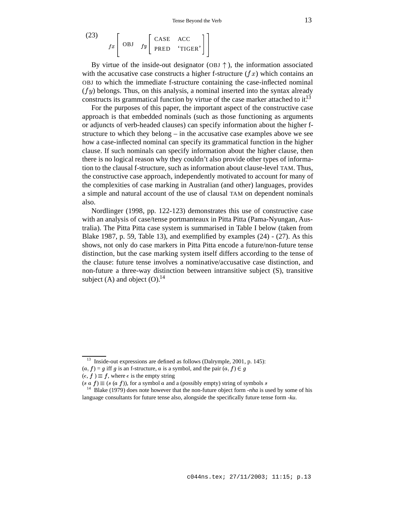(23) 
$$
f_x
$$
  $\begin{bmatrix} \text{OBJ} & f_y \end{bmatrix}$   $\begin{bmatrix} \text{CASE} & \text{ACC} \\ \text{PRED} & \text{'TIGER'} \end{bmatrix}$ 

By virtue of the inside-out designator (OBJ  $\uparrow$  ), the information associated with the accusative case constructs a higher f-structure  $(fx)$  which contains an OBJ to which the immediate f-structure containing the case-inflected nominal  $(fy)$  belongs. Thus, on this analysis, a nominal inserted into the syntax already constructs its grammatical function by virtue of the case marker attached to it.<sup>13</sup>

For the purposes of this paper, the important aspect of the constructive case approach is that embedded nominals (such as those functioning as arguments or adjuncts of verb-headed clauses) can specify information about the higher fstructure to which they belong – in the accusative case examples above we see how a case-inflected nominal can specify its grammatical function in the higher clause. If such nominals can specify information about the higher clause, then there is no logical reason why they couldn't also provide other types of information to the clausal f-structure, such as information about clause-level TAM. Thus, the constructive case approach, independently motivated to account for many of the complexities of case marking in Australian (and other) languages, provides a simple and natural account of the use of clausal TAM on dependent nominals also.

Nordlinger (1998, pp. 122-123) demonstrates this use of constructive case with an analysis of case/tense portmanteaux in Pitta Pitta (Pama-Nyungan, Australia). The Pitta Pitta case system is summarised in Table I below (taken from Blake 1987, p. 59, Table 13), and exemplified by examples (24) - (27). As this shows, not only do case markers in Pitta Pitta encode a future/non-future tense distinction, but the case marking system itself differs according to the tense of the clause: future tense involves a nominative/accusative case distinction, and non-future a three-way distinction between intransitive subject (S), transitive subject (A) and object  $(O).<sup>14</sup>$ 

Inside-out expressions are defined as follows (Dalrymple, 2001, p. 145):

 $(a, f) = g$  iff q is an f-structure, q is a symbol, and the pair  $(a, f) \in g$ .

 $(\epsilon, f) \equiv f$ , where  $\epsilon$  is the empty string

 $(s a f) \equiv (s (a f))$ , for a symbol a and a (possibly empty) string of symbols s

<sup>&</sup>lt;sup>14</sup> Blake (1979) does note however that the non-future object form *-nha* is used by some of his language consultants for future tense also, alongside the specifically future tense form *-ku*.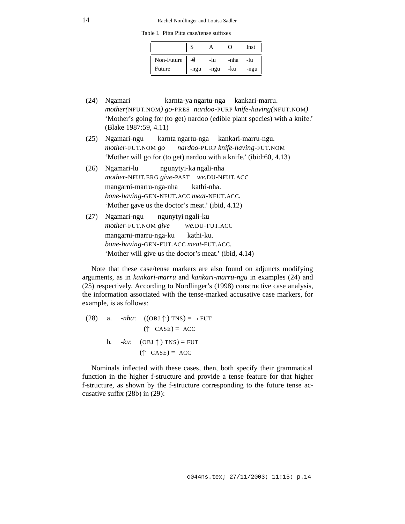Table I. Pitta Pitta case/tense suffixes

|                   |      |      | $\lambda$ | Inst |
|-------------------|------|------|-----------|------|
| Non-Future $\Box$ |      | -lu  | -nha      | -lu  |
| Future            | -ngu | -ngu | -ku       | -ngu |

- (24) Ngamari *mother(*NFUT.NOM*) go-*PRES *nardoo-*PURP *knife-having(*NFUT.NOM*)* karnta-ya ngartu-nga kankari-marru. 'Mother's going for (to get) nardoo (edible plant species) with a knife.' (Blake 1987:59, 4.11)
- (25) Ngamari-ngu *mother-*FUT.NOM *go* karnta ngartu-nga kankari-marru-ngu. *nardoo-*PURP *knife-having-*FUT.NOM 'Mother will go for (to get) nardoo with a knife.' (ibid:60, 4.13)
- (26) Ngamari-lu *mother-*NFUT.ERG *give-*PAST *we.*DU*-*NFUT.ACC ngunytyi-ka ngali-nha mangarni-marru-nga-nha *bone-having-*GEN-NFUT.ACC *meat-*NFUT.ACC*.* kathi-nha. 'Mother gave us the doctor's meat.' (ibid, 4.12)
- (27) Ngamari-ngu *mother-*FUT.NOM *give* ngunytyi ngali-ku *we.*DU-FUT.ACC mangarni-marru-nga-ku *bone-having-*GEN-FUT.ACC *meat-*FUT.ACC*.* kathi-ku. 'Mother will give us the doctor's meat.' (ibid, 4.14)

Note that these case/tense markers are also found on adjuncts modifying arguments, as in *kankari-marru* and *kankari-marru-ngu* in examples (24) and (25) respectively. According to Nordlinger's (1998) constructive case analysis, the information associated with the tense-marked accusative case markers, for example, is as follows:

(28) a. 
$$
\text{-}nha
$$
: ((OBJ  $\uparrow$ ) TNS) =  $\neg$  FUT  
( $\uparrow$  CASE) = ACC  
b.  $\text{-}ku$ : (OBJ  $\uparrow$ ) TNS) = FUT  
( $\uparrow$  CASE) = ACC

Nominals inflected with these cases, then, both specify their grammatical function in the higher f-structure and provide a tense feature for that higher f-structure, as shown by the f-structure corresponding to the future tense accusative suffix (28b) in (29):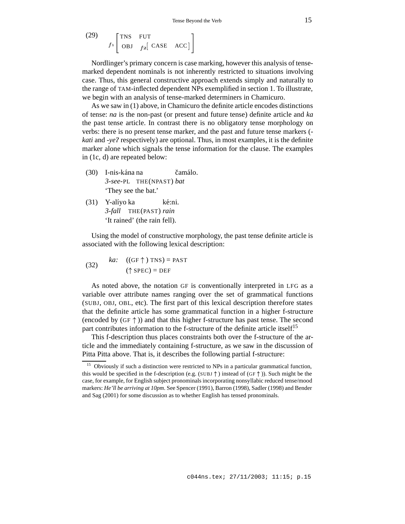(29) 
$$
f_1
$$
  $\begin{bmatrix} \text{TNS} & \text{FUT} \\ \text{OBJ} & f_2 \end{bmatrix}$  CASE ACC

Nordlinger's primary concern is case marking, however this analysis of tensemarked dependent nominals is not inherently restricted to situations involving case. Thus, this general constructive approach extends simply and naturally to the range of TAM-inflected dependent NPs exemplified in section 1. To illustrate, we begin with an analysis of tense-marked determiners in Chamicuro.

As we saw in (1) above, in Chamicuro the definite article encodes distinctions of tense: *na* is the non-past (or present and future tense) definite article and *ka* the past tense article. In contrast there is no obligatory tense morphology on verbs: there is no present tense marker, and the past and future tense markers ( *kati* and *-ye* ? respectively) are optional. Thus, in most examples, it is the definite marker alone which signals the tense information for the clause. The examples in (1c, d) are repeated below:

- (30) I-nis-kána na *3-see-*PL THE(NPAST) *bat* čamálo. 'They see the bat.'
- (31) Y-alíyo ka *3-fall* THE(PAST) *rain* ké:ni. 'It rained' (the rain fell).

Using the model of constructive morphology, the past tense definite article is associated with the following lexical description:

(32)  $ka:$  ((GF  $\uparrow$ ) TNS) = PAST  $(\uparrow$  SPEC) = DEF

As noted above, the notation GF is conventionally interpreted in LFG as a variable over attribute names ranging over the set of grammatical functions (SUBJ, OBJ, OBL, etc). The first part of this lexical description therefore states that the definite article has some grammatical function in a higher f-structure (encoded by  $(GF \uparrow)$ ) and that this higher f-structure has past tense. The second part contributes information to the f-structure of the definite article itself.<sup>15</sup>

This f-description thus places constraints both over the f-structure of the article and the immediately containing f-structure, as we saw in the discussion of Pitta Pitta above. That is, it describes the following partial f-structure:

<sup>15</sup> Obviously if such a distinction were restricted to NPs in a particular grammatical function, this would be specified in the f-description (e.g. (SUBJ  $\uparrow$ ) instead of (GF  $\uparrow$ )). Such might be the case, for example, for English subject pronominals incorporating nonsyllabic reduced tense/mood markers: *He'll be arriving at 10pm*. See Spencer (1991), Barron (1998), Sadler (1998) and Bender and Sag (2001) for some discussion as to whether English has tensed pronominals.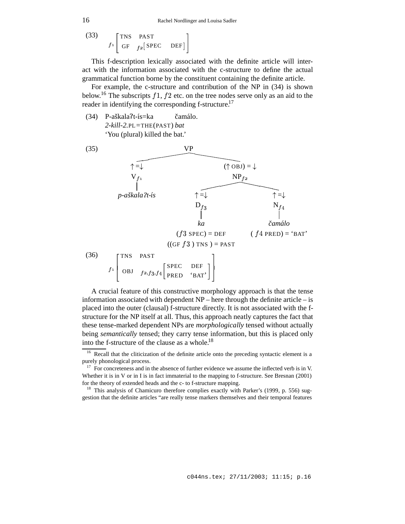(33) 
$$
f_1
$$
  $\begin{bmatrix} TNS & PAST \\ GF & f_2 \end{bmatrix} \text{SPEC} \text{DEF} \}$ 

This f-description lexically associated with the definite article will interact with the information associated with the c-structure to define the actual grammatical function borne by the constituent containing the definite article.

For example, the c-structure and contribution of the NP in (34) is shown below.<sup>16</sup> The subscripts  $f1, f2$  etc. on the tree nodes serve only as an aid to the reader in identifying the corresponding f-structure.<sup>17</sup>

 $(34)$  P-aškala?t-ís=ka *2-kill-2.*PL*=*THE(PAST) *bat* čamálo. 'You (plural) killed the bat.'



A crucial feature of this constructive morphology approach is that the tense information associated with dependent NP – here through the definite article – is placed into the outer (clausal) f-structure directly. It is not associated with the fstructure for the NP itself at all. Thus, this approach neatly captures the fact that these tense-marked dependent NPs are *morphologically* tensed without actually being *semantically* tensed; they carry tense information, but this is placed only into the f-structure of the clause as a whole.<sup>18</sup>

<sup>&</sup>lt;sup>16</sup> Recall that the cliticization of the definite article onto the preceding syntactic element is a purely phonological process.

<sup>&</sup>lt;sup>17</sup> For concreteness and in the absence of further evidence we assume the inflected verb is in V. Whether it is in V or in I is in fact immaterial to the mapping to f-structure. See Bresnan (2001) for the theory of extended heads and the c- to f-structure mapping.

<sup>&</sup>lt;sup>18</sup> This analysis of Chamicuro therefore complies exactly with Parker's (1999, p. 556) suggestion that the definite articles "are really tense markers themselves and their temporal features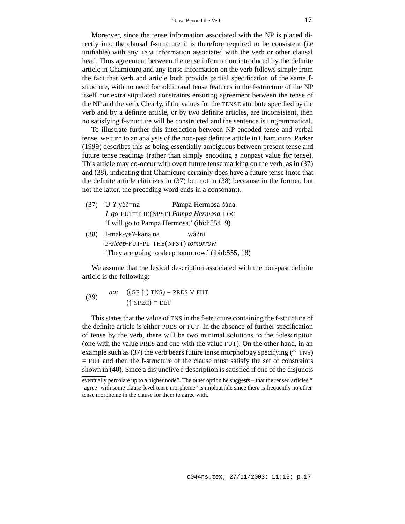Moreover, since the tense information associated with the NP is placed directly into the clausal f-structure it is therefore required to be consistent (i.e unifiable) with any TAM information associated with the verb or other clausal head. Thus agreement between the tense information introduced by the definite article in Chamicuro and any tense information on the verb follows simply from the fact that verb and article both provide partial specification of the same fstructure, with no need for additional tense features in the f-structure of the NP itself nor extra stipulated constraints ensuring agreement between the tense of the NP and the verb. Clearly, if the values for the TENSE attribute specified by the verb and by a definite article, or by two definite articles, are inconsistent, then no satisfying f-structure will be constructed and the sentence is ungrammatical.

To illustrate further this interaction between NP-encoded tense and verbal tense, we turn to an analysis of the non-past definite article in Chamicuro. Parker (1999) describes this as being essentially ambiguous between present tense and future tense readings (rather than simply encoding a nonpast value for tense). This article may co-occur with overt future tense marking on the verb, as in (37) and (38), indicating that Chamicuro certainly does have a future tense (note that the definite article cliticizes in (37) but not in (38) beccause in the former, but not the latter, the preceding word ends in a consonant).

- $(37)$  U-?-yé?=na *1-go-*FUT=THE(NPST) *Pampa Hermosa-*LOC Pámpa Hermosa-šána. 'I will go to Pampa Hermosa.' (ibid:554, 9)
- (38) I-mak-ye?-kána na *3-sleep-*FUT-PL THE(NPST) *tomorrow* wá?ni. 'They are going to sleep tomorrow.' (ibid:555, 18)

We assume that the lexical description associated with the non-past definite article is the following:

(39) *na:* 
$$
((GF \uparrow) \text{ TNS}) = \text{PRES} \lor \text{FUT}
$$
  
 $(\uparrow \text{SPEC}) = \text{DEF}$ 

This states that the value of TNS in the f-structure containing the f-structure of the definite article is either PRES or FUT. In the absence of further specification of tense by the verb, there will be two minimal solutions to the f-description (one with the value PRES and one with the value FUT). On the other hand, in an example such as  $(37)$  the verb bears future tense morphology specifying  $(†$  TNS) = FUT and then the f-structure of the clause must satisfy the set of constraints shown in (40). Since a disjunctive f-description is satisfied if one of the disjuncts

eventually percolate up to a higher node". The other option he suggests – that the tensed articles " 'agree' with some clause-level tense morpheme" is implausible since there is frequently no other tense morpheme in the clause for them to agree with.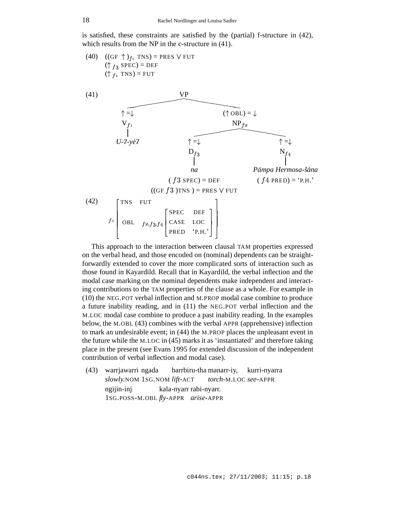is satisfied, these constraints are satisfied by the (partial) f-structure in (42), which results from the NP in the c-structure in  $(41)$ .

(40) ((GF 
$$
\uparrow
$$
)<sub>f<sub>1</sub></sub> TNS) = PRES V FUT  
( $\uparrow$  <sub>f<sub>3</sub></sub> SPEC) = DEF  
( $\uparrow$  <sub>f<sub>1</sub></sub> TNS) = FUT



This approach to the interaction between clausal TAM properties expressed on the verbal head, and those encoded on (nominal) dependents can be straightforwardly extended to cover the more complicated sorts of interaction such as those found in Kayardild. Recall that in Kayardild, the verbal inflection and the modal case marking on the nominal dependents make independent and interacting contributions to the TAM properties of the clause as a whole. For example in (10) the NEG.POT verbal inflection and M.PROP modal case combine to produce a future inability reading, and in (11) the NEG.POT verbal inflection and the M.LOC modal case combine to produce a past inability reading. In the examples below, the M.OBL (43) combines with the verbal APPR (apprehensive) inflection to mark an undesirable event; in (44) the M.PROP places the unpleasant event in the future while the M.LOC in (45) marks it as 'instantiated' and therefore taking place in the present (see Evans 1995 for extended discussion of the independent contribution of verbal inflection and modal case).

(43) warrjawarri ngada *slowly.*NOM 1SG.NOM *lift-*ACT barrbiru-tha manarr-iy, *torch-*M.LOC *see-*APPR kurri-nyarra ngijin-inj 1SG.POSS-M.OBL *fly-*APPR *arise-*APPR kala-nyarr rabi-nyarr.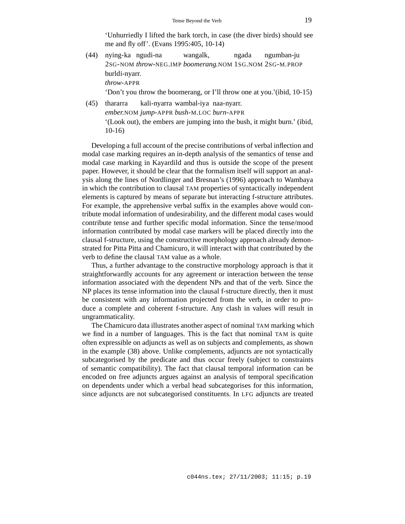'Unhurriedly I lifted the bark torch, in case (the diver birds) should see me and fly off'. (Evans 1995:405, 10-14)

(44) nying-ka ngudi-na 2SG-NOM *throw-*NEG.IMP *boomerang.*NOM 1SG.NOM 2SG-M.PROP wangalk, ngada ngumban-ju burldi-nyarr. *throw-*APPR

'Don't you throw the boomerang, or I'll throw one at you.'(ibid, 10-15)

(45) thararra *ember.*NOM *jump-*APPR *bush-*M.LOC *burn-*APPR kali-nyarra wambal-iya naa-nyarr. '(Look out), the embers are jumping into the bush, it might burn.' (ibid, 10-16)

Developing a full account of the precise contributions of verbal inflection and modal case marking requires an in-depth analysis of the semantics of tense and modal case marking in Kayardild and thus is outside the scope of the present paper. However, it should be clear that the formalism itself will support an analysis along the lines of Nordlinger and Bresnan's (1996) approach to Wambaya in which the contribution to clausal TAM properties of syntactically independent elements is captured by means of separate but interacting f-structure attributes. For example, the apprehensive verbal suffix in the examples above would contribute modal information of undesirability, and the different modal cases would contribute tense and further specific modal information. Since the tense/mood information contributed by modal case markers will be placed directly into the clausal f-structure, using the constructive morphology approach already demonstrated for Pitta Pitta and Chamicuro, it will interact with that contributed by the verb to define the clausal TAM value as a whole.

Thus, a further advantage to the constructive morphology approach is that it straightforwardly accounts for any agreement or interaction between the tense information associated with the dependent NPs and that of the verb. Since the NP places its tense information into the clausal f-structure directly, then it must be consistent with any information projected from the verb, in order to produce a complete and coherent f-structure. Any clash in values will result in ungrammaticality.

The Chamicuro data illustrates another aspect of nominal TAM marking which we find in a number of languages. This is the fact that nominal TAM is quite often expressible on adjuncts as well as on subjects and complements, as shown in the example (38) above. Unlike complements, adjuncts are not syntactically subcategorised by the predicate and thus occur freely (subject to constraints of semantic compatibility). The fact that clausal temporal information can be encoded on free adjuncts argues against an analysis of temporal specification on dependents under which a verbal head subcategorises for this information, since adjuncts are not subcategorised constituents. In LFG adjuncts are treated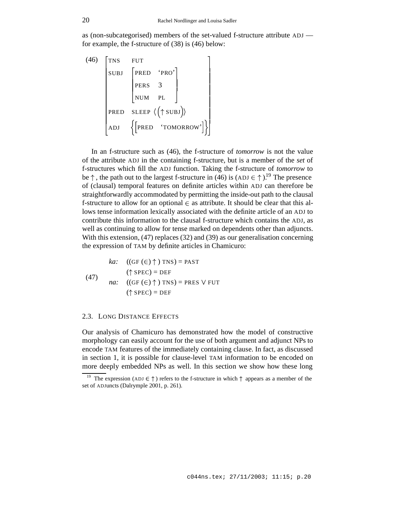as (non-subcategorised) members of the set-valued f-structure attribute ADJ for example, the f-structure of (38) is (46) below:

(46)

\n
$$
\begin{bmatrix}\nTNS & FUT \\
SUBJ & PRED & 'PRO' \\
PERS & 3 \\
NUM & PL\n\end{bmatrix}
$$
\nPRED SLEEP  $\langle (\uparrow SUBJ) \rangle$ 

\nADJ  $\{ \begin{bmatrix}\nPRED & 'TOMORROW' \\
PRED & 'TOMORROW'\n\end{bmatrix}\}$ 

In an f-structure such as (46), the f-structure of *tomorrow* is not the value of the attribute ADJ in the containing f-structure, but is a member of the *set* of f-structures which fill the ADJ function. Taking the f-structure of *tomorrow* to be  $\uparrow$ , the path out to the largest f-structure in (46) is (ADJ  $\in \uparrow$ ).<sup>19</sup> The presence of (clausal) temporal features on definite articles within ADJ can therefore be straightforwardly accommodated by permitting the inside-out path to the clausal f-structure to allow for an optional  $\in$  as attribute. It should be clear that this allows tense information lexically associated with the definite article of an ADJ to contribute this information to the clausal f-structure which contains the ADJ, as well as continuing to allow for tense marked on dependents other than adjuncts. With this extension, (47) replaces (32) and (39) as our generalisation concerning the expression of TAM by definite articles in Chamicuro:

\n ka: 
$$
((GF(\in) \uparrow) \text{ TNS}) = \text{PAST}
$$
  $(\uparrow \text{SPEC}) = \text{DEF}$    
\n na:  $((GF(\in) \uparrow) \text{ TNS}) = \text{PRES} \vee \text{FUT}$    
\n ( $\uparrow \text{SPEC}$ ) = \text{DEF}

## 2.3. LONG DISTANCE EFFECTS

Our analysis of Chamicuro has demonstrated how the model of constructive morphology can easily account for the use of both argument and adjunct NPs to encode TAM features of the immediately containing clause. In fact, as discussed in section 1, it is possible for clause-level TAM information to be encoded on more deeply embedded NPs as well. In this section we show how these long

The expression (ADJ  $\in \uparrow$ ) refers to the f-structure in which  $\uparrow$  appears as a member of the set of ADJuncts (Dalrymple 2001, p. 261).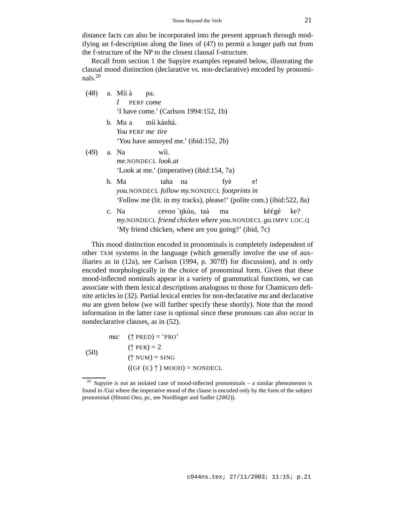distance facts can also be incorporated into the present approach through modifying an f-description along the lines of (47) to permit a longer path out from the f-structure of the NP to the closest clausal f-structure.

Recall from section 1 the Supyire examples repeated below, illustrating the clausal mood distinction (declarative vs. non-declarative) encoded by pronominals.<sup>20</sup>

| (48) | a. Mìi à<br>pa.                                                       |
|------|-----------------------------------------------------------------------|
|      | PERF come<br>$\prime$                                                 |
|      | 'I have come.' (Carlson 1994:152, 1b)                                 |
|      | b. Mu a mìì kánhá.                                                    |
|      | You PERF me tire                                                      |
|      | 'You have annoyed me.' (ibid:152, 2b)                                 |
| (49) | a. Na<br>wìì.                                                         |
|      | <i>me.NONDECL look.at</i>                                             |
|      | 'Look at me.' (imperative) (ibid:154, 7a)                             |
|      | b. Ma<br>fyè<br>taha na<br>e!                                         |
|      | you.NONDECL follow my.NONDECL footprints in                           |
|      | 'Follow me (lit. in my tracks), please!' (polite com.) (ibid:522, 8a) |
|      | $k\acute{\epsilon}$ gé<br>c. Na<br>cevoo `nkùu, taá ma<br>ke?         |
|      | my.NONDECL friend chicken where you.NONDECL go.IMPV LOC.Q             |
|      | 'My friend chicken, where are you going?' (ibid, 7c)                  |

This mood distinction encoded in pronominals is completely independent of other TAM systems in the language (which generally involve the use of auxiliaries as in (12a), see Carlson (1994, p. 307ff) for discussion), and is only encoded morphologically in the choice of pronominal form. Given that these mood-inflected nominals appear in a variety of grammatical functions, we can associate with them lexical descriptions analogous to those for Chamicuro definite articles in (32). Partial lexical entries for non-declarative *ma* and declarative *mu* are given below (we will further specify these shortly). Note that the mood information in the latter case is optional since these pronouns can also occur in nondeclarative clauses, as in (52).

$$
ma: (\uparrow PRED) = \text{`PRO'}(50) (\uparrow PER) = 2(\uparrow NUM) = SING((GF (∈) †) MOOD) = NONDECL
$$

<sup>&</sup>lt;sup>20</sup> Supyire is not an isolated case of mood-inflected pronominals – a similar phenomenon is found in /Gui where the imperative mood of the clause is encoded only by the form of the subject pronominal (Hitomi Ono, pc, see Nordlinger and Sadler (2002)).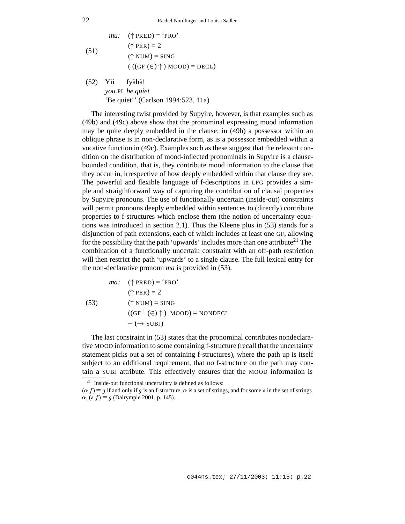*mu:* (
$$
\uparrow
$$
 PRED) = 'PRO'  
\n(51)  
\n(† PER) = 2  
\n(† NUM) = SING  
\n(((GF (∈) †) MOOD) = DECL)

(52) Y`ı`ı *you.*PL fyah` a!` *be.quiet* 'Be quiet!' (Carlson 1994:523, 11a)

The interesting twist provided by Supyire, however, is that examples such as (49b) and (49c) above show that the pronominal expressing mood information may be quite deeply embedded in the clause: in (49b) a possessor within an oblique phrase is in non-declarative form, as is a possessor embedded within a vocative function in (49c). Examples such as these suggest that the relevant condition on the distribution of mood-inflected pronominals in Supyire is a clausebounded condition, that is, they contribute mood information to the clause that they occur in, irrespective of how deeply embedded within that clause they are. The powerful and flexible language of f-descriptions in LFG provides a simple and straigthforward way of capturing the contribution of clausal properties by Supyire pronouns. The use of functionally uncertain (inside-out) constraints will permit pronouns deeply embedded within sentences to (directly) contribute properties to f-structures which enclose them (the notion of uncertainty equations was introduced in section 2.1). Thus the Kleene plus in (53) stands for a disjunction of path extensions, each of which includes at least one GF, allowing for the possibility that the path 'upwards' includes more than one attribute.<sup>21</sup> The combination of a functionally uncertain constraint with an off-path restriction will then restrict the path 'upwards' to a single clause. The full lexical entry for the non-declarative pronoun *ma* is provided in (53).

ma: 
$$
(\uparrow
$$
 PRED) = 'PRO'

\n(† PER) = 2

\n(53)  $(\uparrow$  NUM) = SING

\n((GF<sup>+</sup> (∈) †) MOD) = NONDECL

\n¬ (→ SUBJ)

The last constraint in (53) states that the pronominal contributes nondeclarative MOOD information to some containing f-structure (recall that the uncertainty statement picks out a set of containing f-structures), where the path up is itself subject to an additional requirement, that no f-structure on the path may contain a SUBJ attribute. This effectively ensures that the MOOD information is

<sup>&</sup>lt;sup>21</sup> Inside-out functional uncertainty is defined as follows:

 $(\alpha, f) \equiv g$  if and only if g is an f-structure,  $\alpha$  is a set of strings, and for some s in the set of strings  $\alpha$ ,  $(s f) \equiv g$  (Dalrymple 2001, p. 145).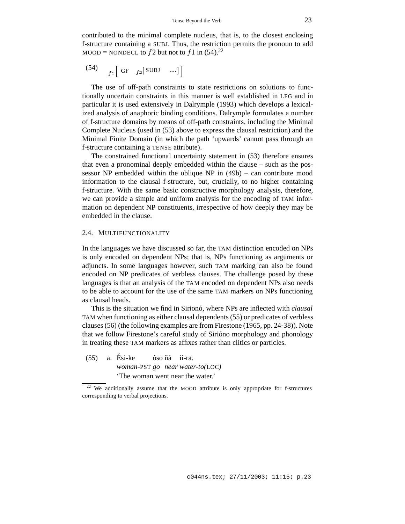contributed to the minimal complete nucleus, that is, to the closest enclosing f-structure containing a SUBJ. Thus, the restriction permits the pronoun to add MOOD = NONDECL to  $f_2$  but not to  $f_1$  in (54).<sup>22</sup>

$$
(54) \t f1 [GF f2[SUBJ \t ....]]
$$

The use of off-path constraints to state restrictions on solutions to functionally uncertain constraints in this manner is well established in LFG and in particular it is used extensively in Dalrymple (1993) which develops a lexicalized analysis of anaphoric binding conditions. Dalrymple formulates a number of f-structure domains by means of off-path constraints, including the Minimal Complete Nucleus (used in (53) above to express the clausal restriction) and the Minimal Finite Domain (in which the path 'upwards' cannot pass through an f-structure containing a TENSE attribute).

The constrained functional uncertainty statement in (53) therefore ensures that even a pronominal deeply embedded within the clause – such as the possessor NP embedded within the oblique NP in (49b) – can contribute mood information to the clausal f-structure, but, crucially, to no higher containing f-structure. With the same basic constructive morphology analysis, therefore, we can provide a simple and uniform analysis for the encoding of TAM information on dependent NP constituents, irrespective of how deeply they may be embedded in the clause.

# 2.4 MULTIFUNCTIONALITY

In the languages we have discussed so far, the TAM distinction encoded on NPs is only encoded on dependent NPs; that is, NPs functioning as arguments or adjuncts. In some languages however, such TAM marking can also be found encoded on NP predicates of verbless clauses. The challenge posed by these languages is that an analysis of the TAM encoded on dependent NPs also needs to be able to account for the use of the same TAM markers on NPs functioning as clausal heads.

This is the situation we find in Siriono<sup>*'*</sup>, where NPs are inflected with *clausal* TAM when functioning as either clausal dependents (55) or predicates of verbless clauses (56) (the following examples are from Firestone (1965, pp. 24-38)). Note that we follow Firestone's careful study of Sirióno morphology and phonology in treating these TAM markers as affixes rather than clitics or particles.

 $(55)$  a. Esi-ke *woman-*PST *go near water-to(*LOC*)* óso ñá ií-ra. 'The woman went near the water.'

<sup>&</sup>lt;sup>22</sup> We additionally assume that the MOOD attribute is only appropriate for f-structures corresponding to verbal projections.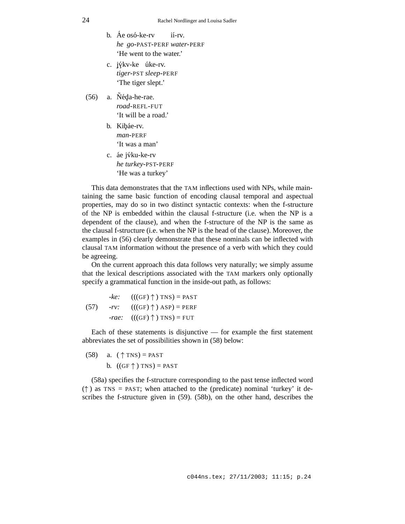b. Áe osó-ke-rv *he go-*PAST-PERF *water-*PERF ií-rv. 'He went to the water.'

- c. jýkv-ke úke-rv. *tiger-*PST *sleep-*PERF 'The tiger slept.'
- $(56)$  a.  $\tilde{\text{N}}$ éda-he-rae. *road-*REFL-FUT 'It will be a road.'
	- b. Kibáe-rv. *man-*PERF 'It was a man'
	- c. áe jýku-ke-rv *he turkey-*PST-PERF 'He was a turkey'

This data demonstrates that the TAM inflections used with NPs, while maintaining the same basic function of encoding clausal temporal and aspectual properties, may do so in two distinct syntactic contexts: when the f-structure of the NP is embedded within the clausal f-structure (i.e. when the NP is a dependent of the clause), and when the f-structure of the NP is the same as the clausal f-structure (i.e. when the NP is the head of the clause). Moreover, the examples in (56) clearly demonstrate that these nominals can be inflected with clausal TAM information without the presence of a verb with which they could be agreeing.

On the current approach this data follows very naturally; we simply assume that the lexical descriptions associated with the TAM markers only optionally specify a grammatical function in the inside-out path, as follows:

|      | $-ke:$ (((GF) $\uparrow$ ) TNS) = PAST     |
|------|--------------------------------------------|
| (57) | $-rv:$ $((GF) \uparrow)$ ASP) = PERF       |
|      | <i>-rae:</i> $(((GF) \uparrow) TNS) = FUT$ |

Each of these statements is disjunctive  $-$  for example the first statement abbreviates the set of possibilities shown in (58) below:

(58) a.  $(\uparrow$  TNS) = PAST b.  $((GF \uparrow) TNS) = PAST$ 

(58a) specifies the f-structure corresponding to the past tense inflected word  $(\uparrow)$  as TNS = PAST; when attached to the (predicate) nominal 'turkey' it describes the f-structure given in (59). (58b), on the other hand, describes the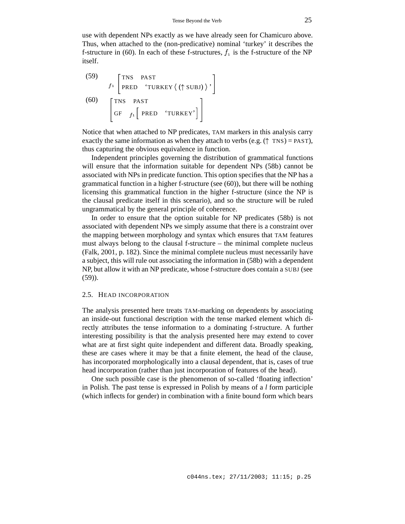use with dependent NPs exactly as we have already seen for Chamicuro above. Thus, when attached to the (non-predicative) nominal 'turkey' it describes the f-structure in (60). In each of these f-structures,  $f_1$  is the f-structure of the NP itself.

(59) 
$$
f_1
$$
  $\begin{bmatrix} TNS & PAST \\ PRED & 'TURKEY \langle (\uparrow SUBJ) \rangle \end{bmatrix}$   
(60)  $\begin{bmatrix} TNS & PAST \\ GF & f_1 \end{bmatrix}$  PRED 'TURKEY']

Notice that when attached to NP predicates, TAM markers in this analysis carry exactly the same information as when they attach to verbs (e.g.  $(\uparrow \text{TNS}) = \text{PAST}$ ), thus capturing the obvious equivalence in function.

Independent principles governing the distribution of grammatical functions will ensure that the information suitable for dependent NPs (58b) cannot be associated with NPs in predicate function. This option specifies that the NP has a grammatical function in a higher f-structure (see (60)), but there will be nothing licensing this grammatical function in the higher f-structure (since the NP is the clausal predicate itself in this scenario), and so the structure will be ruled ungrammatical by the general principle of coherence.

In order to ensure that the option suitable for NP predicates (58b) is not associated with dependent NPs we simply assume that there is a constraint over the mapping between morphology and syntax which ensures that TAM features must always belong to the clausal f-structure – the minimal complete nucleus (Falk, 2001, p. 182). Since the minimal complete nucleus must necessarily have a subject, this will rule out associating the information in (58b) with a dependent NP, but allow it with an NP predicate, whose f-structure does contain a SUBJ (see (59)).

#### 2.5. HEAD INCORPORATION

The analysis presented here treats TAM-marking on dependents by associating an inside-out functional description with the tense marked element which directly attributes the tense information to a dominating f-structure. A further interesting possibility is that the analysis presented here may extend to cover what are at first sight quite independent and different data. Broadly speaking, these are cases where it may be that a finite element, the head of the clause, has incorporated morphologically into a clausal dependent, that is, cases of true head incorporation (rather than just incorporation of features of the head).

One such possible case is the phenomenon of so-called 'floating inflection' in Polish. The past tense is expressed in Polish by means of a *l* form participle (which inflects for gender) in combination with a finite bound form which bears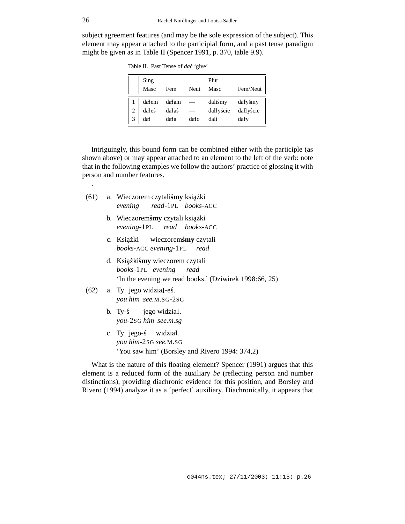subject agreement features (and may be the sole expression of the subject). This element may appear attached to the participial form, and a past tense paradigm might be given as in Table II (Spencer 1991, p. 370, table 9.9).

Table II. Past Tense of *dac´* 'give'

|                                   | Sing<br>Masc | Fem   | Neut | Plur<br>Masc | Fem/Neut  |
|-----------------------------------|--------------|-------|------|--------------|-----------|
|                                   | dałem        | dałam |      | daliśmy      | dałyśmy   |
| $\begin{bmatrix} 2 \end{bmatrix}$ | dałeś        | dałaś |      | dallyście    | dallyście |
| $\overline{3}$                    | dał          | dała  | dało | dali         | dały      |

Intriguingly, this bound form can be combined either with the participle (as shown above) or may appear attached to an element to the left of the verb: note that in the following examples we follow the authors' practice of glossing it with person and number features.

- (61) a. Wieczorem czytaliśmy książki *evening read-*1PL *books-*ACC
	- b. Wieczoremśmy czytali książki *evening-*1PL *read books-*ACC
	- c. Ksiażki *books-*ACC *evening-*1PL *read* wieczorem**smy ´** czytali
	- d. Książkiśmy wieczorem czytali *books-*1PL *evening read* 'In the evening we read books.' (Dziwirek 1998:66, 25)
- (62) a. Ty jego widziab -es.´ *you him see.*M.SG*-*2SG
	- $b.$  Ty- $\zeta$ *you-*2SG *him see.m.sg* jego widział.
	- c. Ty jego-ś widział. *you him-*2SG *see.*M.SG 'You saw him' (Borsley and Rivero 1994: 374,2)

What is the nature of this floating element? Spencer (1991) argues that this element is a reduced form of the auxiliary *be* (reflecting person and number distinctions), providing diachronic evidence for this position, and Borsley and Rivero (1994) analyze it as a 'perfect' auxiliary. Diachronically, it appears that

.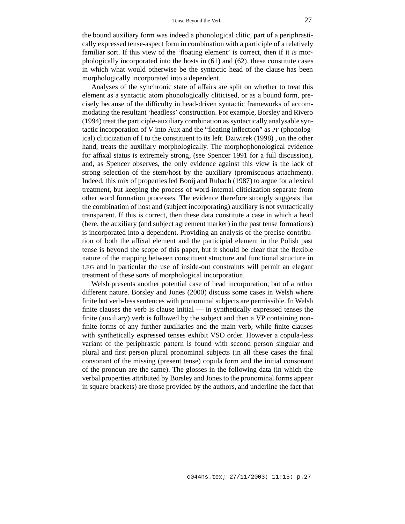the bound auxiliary form was indeed a phonological clitic, part of a periphrastically expressed tense-aspect form in combination with a participle of a relatively familiar sort. If this view of the 'floating element' is correct, then if it *is* morphologically incorporated into the hosts in (61) and (62), these constitute cases in which what would otherwise be the syntactic head of the clause has been morphologically incorporated into a dependent.

Analyses of the synchronic state of affairs are split on whether to treat this element as a syntactic atom phonologically cliticised, or as a bound form, precisely because of the difficulty in head-driven syntactic frameworks of accommodating the resultant 'headless' construction. For example, Borsley and Rivero (1994) treat the participle-auxiliary combination as syntactically analysable syntactic incorporation of V into Aux and the "floating inflection" as PF (phonological) cliticization of I to the constituent to its left. Dziwirek (1998) , on the other hand, treats the auxiliary morphologically. The morphophonological evidence for affixal status is extremely strong, (see Spencer 1991 for a full discussion), and, as Spencer observes, the only evidence against this view is the lack of strong selection of the stem/host by the auxiliary (promiscuous attachment). Indeed, this mix of properties led Booij and Rubach (1987) to argue for a lexical treatment, but keeping the process of word-internal cliticization separate from other word formation processes. The evidence therefore strongly suggests that the combination of host and (subject incorporating) auxiliary is not syntactically transparent. If this is correct, then these data constitute a case in which a head (here, the auxiliary (and subject agreement marker) in the past tense formations) is incorporated into a dependent. Providing an analysis of the precise contribution of both the affixal element and the participial element in the Polish past tense is beyond the scope of this paper, but it should be clear that the flexible nature of the mapping between constituent structure and functional structure in LFG and in particular the use of inside-out constraints will permit an elegant treatment of these sorts of morphological incorporation.

Welsh presents another potential case of head incorporation, but of a rather different nature. Borsley and Jones (2000) discuss some cases in Welsh where finite but verb-less sentences with pronominal subjects are permissible. In Welsh finite clauses the verb is clause initial — in synthetically expressed tenses the finite (auxiliary) verb is followed by the subject and then a VP containing nonfinite forms of any further auxiliaries and the main verb, while finite clauses with synthetically expressed tenses exhibit VSO order. However a copula-less variant of the periphrastic pattern is found with second person singular and plural and first person plural pronominal subjects (in all these cases the final consonant of the missing (present tense) copula form and the initial consonant of the pronoun are the same). The glosses in the following data (in which the verbal properties attributed by Borsley and Jones to the pronominal forms appear in square brackets) are those provided by the authors, and underline the fact that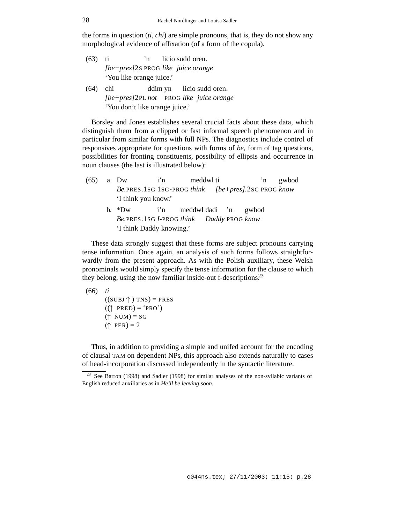the forms in question (*ti*, *chi*) are simple pronouns, that is, they do not show any morphological evidence of affixation (of a form of the copula).

- (63) ti *[be+pres]*2S PROG *like juice orange* 'n licio sudd oren. 'You like orange juice.'
- (64) chi *[be+pres]*2PL *not* PROG *like juice orange* ddim yn licio sudd oren. 'You don't like orange juice.'

Borsley and Jones establishes several crucial facts about these data, which distinguish them from a clipped or fast informal speech phenomenon and in particular from similar forms with full NPs. The diagnostics include control of responsives appropriate for questions with forms of *be*, form of tag questions, possibilities for fronting constituents, possibility of ellipsis and occurrence in noun clauses (the last is illustrated below):

(65) a. Dw *Be.*PRES.1SG 1SG-PROG *think* i'n meddwl ti *[be+pres].*2SG PROG *know* 'n gwbod 'I think you know.' b. \*Dw *Be.*PRES.1SG *I-*PROG *think* i'n meddwl dadi *Daddy* PROG *know* 'n gwbod 'I think Daddy knowing.'

These data strongly suggest that these forms are subject pronouns carrying tense information. Once again, an analysis of such forms follows straightforwardly from the present approach. As with the Polish auxiliary, these Welsh pronominals would simply specify the tense information for the clause to which they belong, using the now familiar inside-out f-descriptions.<sup>23</sup>

(66) *ti*  $((SUBJ \uparrow) TNS) = PRES$  $((\uparrow$  PRED) = 'PRO')  $(\uparrow$  NUM) = SG  $($ <sup> $\uparrow$ </sup> PER) = 2

Thus, in addition to providing a simple and unifed account for the encoding of clausal TAM on dependent NPs, this approach also extends naturally to cases of head-incorporation discussed independently in the syntactic literature.

<sup>&</sup>lt;sup>23</sup> See Barron (1998) and Sadler (1998) for similar analyses of the non-syllabic variants of English reduced auxiliaries as in *He'll be leaving soon*.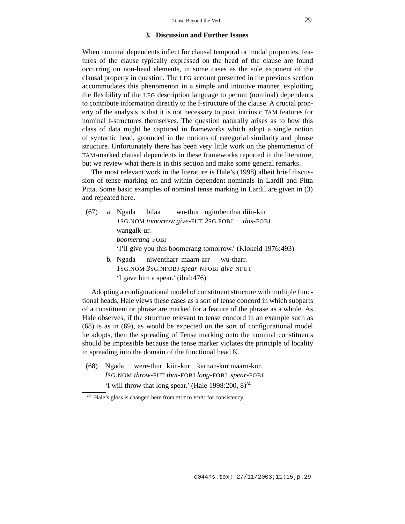#### **3. Discussion and Further Issues**

When nominal dependents inflect for clausal temporal or modal properties, features of the clause typically expressed on the head of the clause are found occurring on non-head elements, in some cases as the sole exponent of the clausal property in question. The LFG account presented in the previous section accommodates this phenomenon in a simple and intuitive manner, exploiting the flexibility of the LFG description language to permit (nominal) dependents to contribute information directly to the f-structure of the clause. A crucial property of the analysis is that it is not necessary to posit intrinsic TAM features for nominal f-structures themselves. The question naturally arises as to how this class of data might be captured in frameworks which adopt a single notion of syntactic head, grounded in the notions of categorial similarity and phrase structure. Unfortunately there has been very little work on the phenomenon of TAM-marked clausal dependents in these frameworks reported in the literature, but we review what there is in this section and make some general remarks.

The most relevant work in the literature is Hale's (1998) albeit brief discussion of tense marking on and within dependent nominals in Lardil and Pitta Pitta. Some basic examples of nominal tense marking in Lardil are given in (3) and repeated here.

|  | (67) a. Ngada bilaa wu-thur ngimbenthar diin-kur |                                              |  |                                                             |  |
|--|--------------------------------------------------|----------------------------------------------|--|-------------------------------------------------------------|--|
|  |                                                  | 1SG.NOM tomorrow give-FUT 2SG.FOBJ this-FOBJ |  |                                                             |  |
|  | wangalk-ur.                                      |                                              |  |                                                             |  |
|  | boomerang-FOBJ                                   |                                              |  |                                                             |  |
|  |                                                  |                                              |  | 'I'll give you this boomerang tomorrow.' (Klokeid 1976:493) |  |
|  | b. Ngada niwentharr maarn-arr wu-tharr.          |                                              |  |                                                             |  |
|  |                                                  | 1SG.NOM 3SG.NFOBJ spear-NFOBJ give-NFUT      |  |                                                             |  |

'I gave him a spear.' (ibid:476)

Adopting a configurational model of constituent structure with multiple functional heads, Hale views these cases as a sort of tense concord in which subparts of a constituent or phrase are marked for a feature of the phrase as a whole. As Hale observes, if the structure relevant to tense concord in an example such as (68) is as in (69), as would be expected on the sort of configurational model he adopts, then the spreading of Tense marking onto the nominal constituents should be impossible because the tense marker violates the principle of locality in spreading into the domain of the functional head K.

(68) Ngada *I*SG.NOM *throw-*FUT *that-*FOBJ *long-*FOBJ *spear-*FOBJ were-thur kiin-kur karnan-kur maarn-kur. 'I will throw that long spear.' (Hale 1998:200,  $8^2$ <sup>4</sup>

 $^{24}$  Hale's gloss is changed here from FUT to FOBJ for consistency.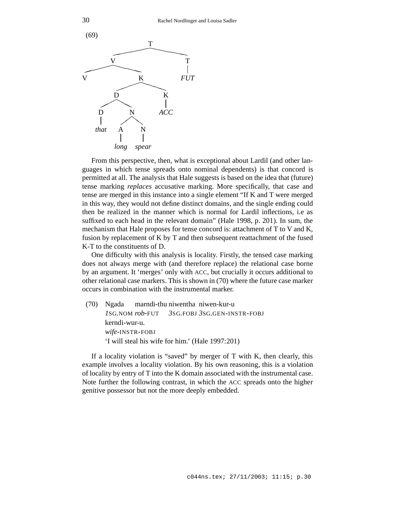

From this perspective, then, what is exceptional about Lardil (and other languages in which tense spreads onto nominal dependents) is that concord is permitted at all. The analysis that Hale suggests is based on the idea that (future) tense marking *replaces* accusative marking. More specifically, that case and tense are merged in this instance into a single element "If K and T were merged in this way, they would not define distinct domains, and the single ending could then be realized in the manner which is normal for Lardil inflections, i.e as suffixed to each head in the relevant domain" (Hale 1998, p. 201). In sum, the mechanism that Hale proposes for tense concord is: attachment of T to V and K, fusion by replacement of K by T and then subsequent reattachment of the fused K-T to the constituents of D.

One difficulty with this analysis is locality. Firstly, the tensed case marking does not always merge with (and therefore replace) the relational case borne by an argument. It 'merges' only with ACC, but crucially it occurs additional to other relational case markers. This is shown in (70) where the future case marker occurs in combination with the instrumental marker.

(70) Ngada *1*SG*.*NOM *rob-*FUT marndi-thu niwentha niwen-kur-u *3*SG*.*FOBJ *3*SG*.*GEN-INSTR-FOBJ kerndi-wur-u. *wife-*INSTR-FOBJ 'I will steal his wife for him.' (Hale 1997:201)

If a locality violation is "saved" by merger of T with K, then clearly, this example involves a locality violation. By his own reasoning, this is a violation of locality by entry of T into the K domain associated with the instrumental case. Note further the following contrast, in which the ACC spreads onto the higher genitive possessor but not the more deeply embedded.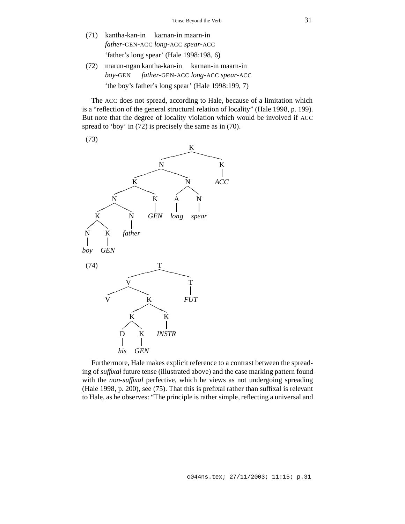- (71) kantha-kan-in *father-*GEN*-*ACC *long-*ACC *spear-*ACC karnan-in maarn-in 'father's long spear' (Hale 1998:198, 6)
- (72) marun-ngan kantha-kan-in karnan-in maarn-in *boy-*GEN *father-*GEN*-*ACC *long-*ACC *spear-*ACC 'the boy's father's long spear' (Hale 1998:199, 7)

The ACC does not spread, according to Hale, because of a limitation which is a "reflection of the general structural relation of locality" (Hale 1998, p. 199). But note that the degree of locality violation which would be involved if ACC spread to 'boy' in (72) is precisely the same as in (70).

(73)



Furthermore, Hale makes explicit reference to a contrast between the spreading of *suffixal* future tense (illustrated above) and the case marking pattern found with the *non-suffixal* perfective, which he views as not undergoing spreading (Hale 1998, p. 200), see (75). That this is prefixal rather than suffixal is relevant to Hale, as he observes: "The principle is rather simple, reflecting a universal and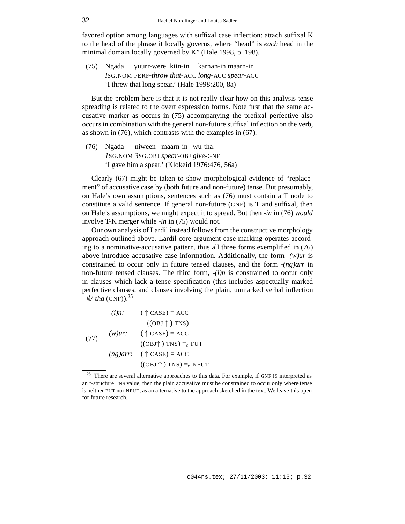favored option among languages with suffixal case inflection: attach suffixal K to the head of the phrase it locally governs, where "head" is *each* head in the minimal domain locally governed by K" (Hale 1998, p. 198).

(75) Ngada *I*SG.NOM PERF*-throw that-*ACC *long-*ACC *spear-*ACC yuurr-were kiin-in karnan-in maarn-in. 'I threw that long spear.' (Hale 1998:200, 8a)

But the problem here is that it is not really clear how on this analysis tense spreading is related to the overt expression forms. Note first that the same accusative marker as occurs in (75) accompanying the prefixal perfective also occurs in combination with the general non-future suffixal inflection on the verb, as shown in (76), which contrasts with the examples in (67).

(76) Ngada *1*SG*.*NOM *3*SG*.*OBJ *spear-*OBJ *give-*GNF niween maarn-in wu-tha. 'I gave him a spear.' (Klokeid 1976:476, 56a)

Clearly (67) might be taken to show morphological evidence of "replacement" of accusative case by (both future and non-future) tense. But presumably, on Hale's own assumptions, sentences such as (76) must contain a T node to constitute a valid sentence. If general non-future (GNF) is T and suffixal, then on Hale's assumptions, we might expect it to spread. But then *-in* in (76) *would* involve T-K merger while *-in* in (75) would not.

Our own analysis of Lardil instead follows from the constructive morphology approach outlined above. Lardil core argument case marking operates according to a nominative-accusative pattern, thus all three forms exemplified in (76) above introduce accusative case information. Additionally, the form  $-(w)ur$  is constrained to occur only in future tensed clauses, and the form *-(ng)arr* in non-future tensed clauses. The third form, *-(i)n* is constrained to occur only in clauses which lack a tense specification (this includes aspectually marked perfective clauses, and clauses involving the plain, unmarked verbal inflection -*-*q*/-tha* (GNF)).<sup>25</sup>

(77)  
\n
$$
(\uparrow \text{CASE}) = \text{ACC}
$$
\n
$$
\neg ((\text{OBJ} \uparrow) \text{ TNS})
$$
\n
$$
(w)ur: \quad (\uparrow \text{CASE}) = \text{ACC}
$$
\n
$$
((\text{OBJ} \uparrow) \text{ TNS}) =_c \text{ FUT}
$$
\n
$$
(ng)arr: \quad (\uparrow \text{CASE}) = \text{ACC}
$$
\n
$$
((\text{OBJ} \uparrow) \text{ TNS}) =_c \text{ NFUT}
$$

<sup>&</sup>lt;sup>25</sup> There are several alternative approaches to this data. For example, if GNF IS interpreted as an f-structure TNS value, then the plain accusative must be constrained to occur only where tense is neither FUT nor NFUT, as an alternative to the approach sketched in the text. We leave this open for future research.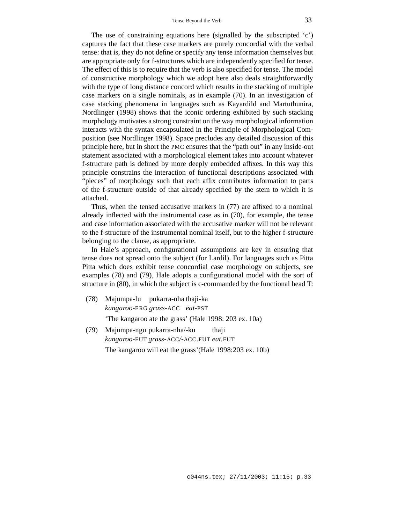#### Tense Beyond the Verb 33

The use of constraining equations here (signalled by the subscripted 'c') captures the fact that these case markers are purely concordial with the verbal tense: that is, they do not define or specify any tense information themselves but are appropriate only for f-structures which are independently specified for tense. The effect of this is to require that the verb is also specified for tense. The model of constructive morphology which we adopt here also deals straightforwardly with the type of long distance concord which results in the stacking of multiple case markers on a single nominals, as in example (70). In an investigation of case stacking phenomena in languages such as Kayardild and Martuthunira, Nordlinger (1998) shows that the iconic ordering exhibited by such stacking morphology motivates a strong constraint on the way morphological information interacts with the syntax encapsulated in the Principle of Morphological Composition (see Nordlinger 1998). Space precludes any detailed discussion of this principle here, but in short the PMC ensures that the "path out" in any inside-out statement associated with a morphological element takes into account whatever f-structure path is defined by more deeply embedded affixes. In this way this principle constrains the interaction of functional descriptions associated with "pieces" of morphology such that each affix contributes information to parts of the f-structure outside of that already specified by the stem to which it is attached.

Thus, when the tensed accusative markers in (77) are affixed to a nominal already inflected with the instrumental case as in (70), for example, the tense and case information associated with the accusative marker will not be relevant to the f-structure of the instrumental nominal itself, but to the higher f-structure belonging to the clause, as appropriate.

In Hale's approach, configurational assumptions are key in ensuring that tense does not spread onto the subject (for Lardil). For languages such as Pitta Pitta which does exhibit tense concordial case morphology on subjects, see examples (78) and (79), Hale adopts a configurational model with the sort of structure in (80), in which the subject is c-commanded by the functional head T:

- (78) Majumpa-lu pukarra-nha thaji-ka *kangaroo-*ERG *grass-*ACC *eat-*PST 'The kangaroo ate the grass' (Hale 1998: 203 ex. 10a)
- (79) Majumpa-ngu pukarra-nha/-ku *kangaroo-*FUT *grass-*ACC*/-*ACC.FUT *eat.*FUT thaji The kangaroo will eat the grass'(Hale 1998:203 ex. 10b)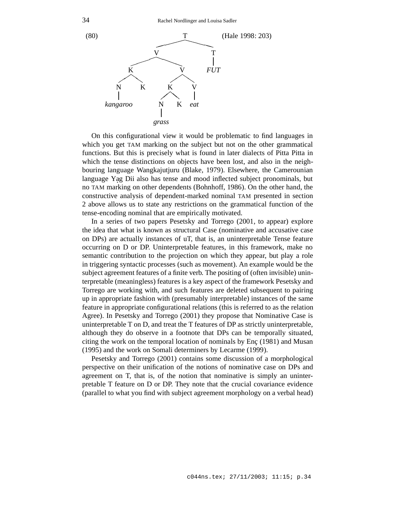

On this configurational view it would be problematic to find languages in which you get TAM marking on the subject but not on the other grammatical functions. But this is precisely what is found in later dialects of Pitta Pitta in which the tense distinctions on objects have been lost, and also in the neighbouring language Wangkajutjuru (Blake, 1979). Elsewhere, the Camerounian language Yag Dii also has tense and mood inflected subject pronominals, but no TAM marking on other dependents (Bohnhoff, 1986). On the other hand, the constructive analysis of dependent-marked nominal TAM presented in section 2 above allows us to state any restrictions on the grammatical function of the tense-encoding nominal that are empirically motivated.

In a series of two papers Pesetsky and Torrego (2001, to appear) explore the idea that what is known as structural Case (nominative and accusative case on DPs) are actually instances of uT, that is, an uninterpretable Tense feature occurring on D or DP. Uninterpretable features, in this framework, make no semantic contribution to the projection on which they appear, but play a role in triggering syntactic processes (such as movement). An example would be the subject agreement features of a finite verb. The positing of (often invisible) uninterpretable (meaningless) features is a key aspect of the framework Pesetsky and Torrego are working with, and such features are deleted subsequent to pairing up in appropriate fashion with (presumably interpretable) instances of the same feature in appropriate configurational relations (this is referred to as the relation Agree). In Pesetsky and Torrego (2001) they propose that Nominative Case is uninterpretable T on D, and treat the T features of DP as strictly uninterpretable, although they do observe in a footnote that DPs can be temporally situated, citing the work on the temporal location of nominals by Enc (1981) and Musan (1995) and the work on Somali determiners by Lecarme (1999).

Pesetsky and Torrego (2001) contains some discussion of a morphological perspective on their unification of the notions of nominative case on DPs and agreement on T, that is, of the notion that nominative is simply an uninterpretable T feature on D or DP. They note that the crucial covariance evidence (parallel to what you find with subject agreement morphology on a verbal head)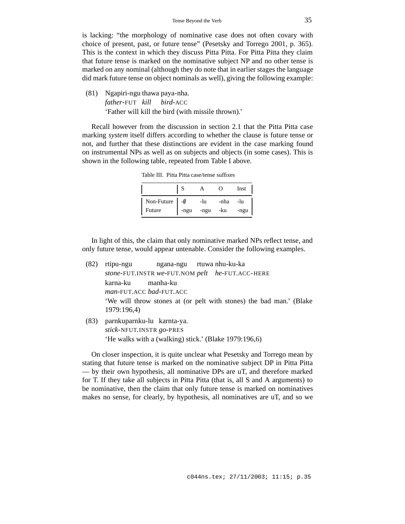is lacking: "the morphology of nominative case does not often covary with choice of present, past, or future tense" (Pesetsky and Torrego 2001, p. 365). This is the context in which they discuss Pitta Pitta. For Pitta Pitta they claim that future tense is marked on the nominative subject NP and no other tense is marked on any nominal (although they do note that in earlier stages the language did mark future tense on object nominals as well), giving the following example:

(81) Ngapiri-ngu thawa paya-nha. *father-*FUT *kill bird-*ACC 'Father will kill the bird (with missile thrown).'

Recall however from the discussion in section 2.1 that the Pitta Pitta case marking *system* itself differs according to whether the clause is future tense or not, and further that these distinctions are evident in the case marking found on instrumental NPs as well as on subjects and objects (in some cases). This is shown in the following table, repeated from Table I above.

Table III. Pitta Pitta case/tense suffixes

|            |      |      | $\Omega$ | Inst |
|------------|------|------|----------|------|
| Non-Future | -0   | -lu  | -nha     | -lu  |
| Future     | -ngu | -ngu | -ku      | -ngu |

In light of this, the claim that only nominative marked NPs reflect tense, and only future tense, would appear untenable. Consider the following examples.

- (82) rtipu-ngu *stone-*FUT.INSTR *we-*FUT.NOM *pelt he-*FUT.ACC-HERE ngana-ngu rtuwa nhu-ku-ka karna-ku *man-*FUT.ACC *bad-*FUT.ACC manha-ku 'We will throw stones at (or pelt with stones) the bad man.' (Blake 1979:196,4)
- (83) parnkuparnku-lu karnta-ya. *stick-*NFUT.INSTR *go-*PRES 'He walks with a (walking) stick.' (Blake 1979:196,6)

On closer inspection, it is quite unclear what Pesetsky and Torrego mean by stating that future tense is marked on the nominative subject DP in Pitta Pitta — by their own hypothesis, all nominative DPs are uT, and therefore marked for T. If they take all subjects in Pitta Pitta (that is, all S and A arguments) to be nominative, then the claim that only future tense is marked on nominatives makes no sense, for clearly, by hypothesis, all nominatives are uT, and so we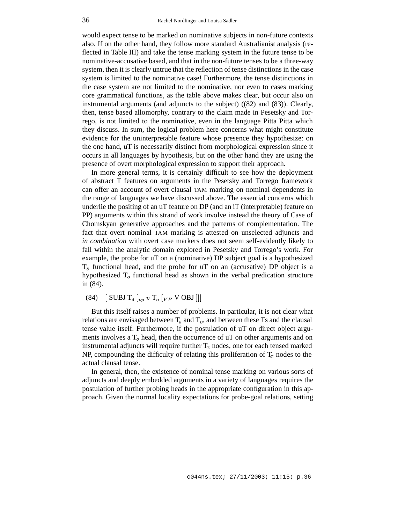would expect tense to be marked on nominative subjects in non-future contexts also. If on the other hand, they follow more standard Australianist analysis (reflected in Table III) and take the tense marking system in the future tense to be nominative-accusative based, and that in the non-future tenses to be a three-way system, then it is clearly untrue that the reflection of tense distinctions in the case system is limited to the nominative case! Furthermore, the tense distinctions in the case system are not limited to the nominative, nor even to cases marking core grammatical functions, as the table above makes clear, but occur also on instrumental arguments (and adjuncts to the subject) ((82) and (83)). Clearly, then, tense based allomorphy, contrary to the claim made in Pesetsky and Torrego, is not limited to the nominative, even in the language Pitta Pitta which they discuss. In sum, the logical problem here concerns what might constitute evidence for the uninterpretable feature whose presence they hypothesize: on the one hand, uT is necessarily distinct from morphological expression since it occurs in all languages by hypothesis, but on the other hand they are using the presence of overt morphological expression to support their approach.

In more general terms, it is certainly difficult to see how the deployment of abstract T features on arguments in the Pesetsky and Torrego framework can offer an account of overt clausal TAM marking on nominal dependents in the range of languages we have discussed above. The essential concerns which underlie the positing of an uT feature on DP (and an iT (interpretable) feature on PP) arguments within this strand of work involve instead the theory of Case of Chomskyan generative approaches and the patterns of complementation. The fact that overt nominal TAM marking is attested on unselected adjuncts and *in combination* with overt case markers does not seem self-evidently likely to fall within the analytic domain explored in Pesetsky and Torrego's work. For example, the probe for uT on a (nominative) DP subject goal is a hypothesized  $T_s$  functional head, and the probe for uT on an (accusative) DP object is a hypothesized  $T<sub>o</sub>$  functional head as shown in the verbal predication structure in (84).

(84)  $[\text{SUBJ } \mathsf{T}_s |_{vp} v \mathsf{T}_o |_{VP} \text{V } \text{OBJ } ||]$ 

But this itself raises a number of problems. In particular, it is not clear what relations are envisaged between  $T_s$  and  $T_o$ , and between these Ts and the clausal tense value itself. Furthermore, if the postulation of uT on direct object arguments involves a  $T<sub>o</sub>$  head, then the occurrence of uT on other arguments and on instrumental adjuncts will require further  $T_x$  nodes, one for each tensed marked NP, compounding the difficulty of relating this proliferation of  $T_x$  nodes to the actual clausal tense.

In general, then, the existence of nominal tense marking on various sorts of adjuncts and deeply embedded arguments in a variety of languages requires the postulation of further probing heads in the appropriate configuration in this approach. Given the normal locality expectations for probe-goal relations, setting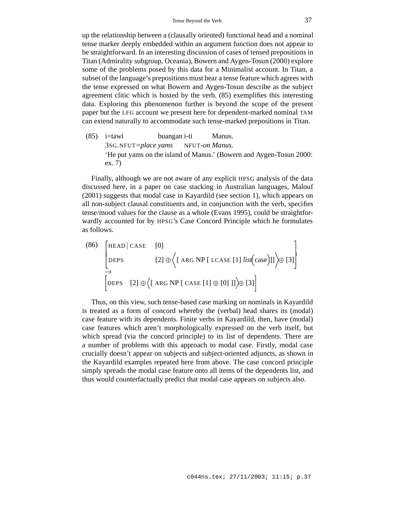up the relationship between a (clausally oriented) functional head and a nominal tense marker deeply embedded within an argument function does not appear to be straightforward. In an interesting discussion of cases of tensed prepositions in Titan (Admirality subgroup, Oceania), Bowern and Aygen-Tosun (2000) explore some of the problems posed by this data for a Minimalist account. In Titan, a subset of the language's prepositions must bear a tense feature which agrees with the tense expressed on what Bowern and Aygen-Tosun describe as the subject agreement clitic which is hosted by the verb. (85) exemplifies this interesting data. Exploring this phenomenon further is beyond the scope of the present paper but the LFG account we present here for dependent-marked nominal TAM can extend naturally to accommodate such tense-marked prepositions in Titan.

 $(85)$  i=tawi 3SG.NFUT*=place yams* buangan i-ti NFUT*-on Manus.* Manus. 'He put yams on the island of Manus.' (Bowern and Aygen-Tosun 2000: ex. 7)

Finally, although we are not aware of any explicit HPSG analysis of the data discussed here, in a paper on case stacking in Australian languages, Malouf (2001) suggests that modal case in Kayardild (see section 1), which appears on all non-subject clausal constituents and, in conjunction with the verb, specifies tense/mood values for the clause as a whole (Evans 1995), could be straightforwardly accounted for by HPSG's Case Concord Principle which he formulates as follows.

(86) 
$$
\begin{bmatrix} \text{HEAD} \mid \text{CASE} & [0] \\ \text{DEPS} & [2] \oplus \left\langle [ \text{ ARG NP} [ \text{ LCASE} [1] \text{ list}(\text{case})] ] \right\rangle \oplus [3] \\ \rightarrow \\ \text{DEPS} & [2] \oplus \left\langle [ \text{ ARG NP} [ \text{ CASE} [1] \oplus [0] ] ] \right\rangle \oplus [3] \end{bmatrix}
$$

Thus, on this view, such tense-based case marking on nominals in Kayardild is treated as a form of concord whereby the (verbal) head shares its (modal) case feature with its dependents. Finite verbs in Kayardild, then, have (modal) case features which aren't morphologically expressed on the verb itself, but which spread (via the concord principle) to its list of dependents. There are a number of problems with this approach to modal case. Firstly, modal case crucially doesn't appear on subjects and subject-oriented adjuncts, as shown in the Kayardild examples repeated here from above. The case concord principle simply spreads the modal case feature onto all items of the dependents list, and thus would counterfactually predict that modal case appears on subjects also.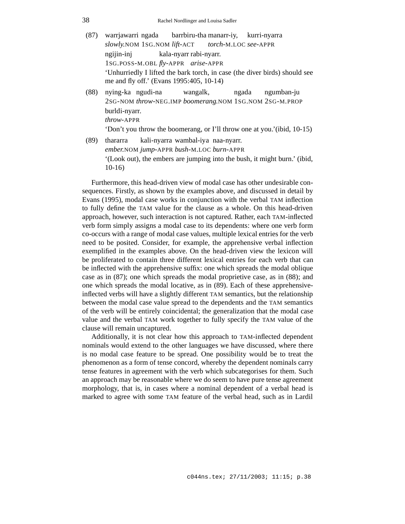- (87) warrjawarri ngada *slowly.*NOM 1SG.NOM *lift-*ACT barrbiru-tha manarr-iy, *torch-*M.LOC *see-*APPR kurri-nyarra ngijin-inj 1SG.POSS-M.OBL *fly-*APPR *arise-*APPR kala-nyarr rabi-nyarr. 'Unhurriedly I lifted the bark torch, in case (the diver birds) should see me and fly off.' (Evans 1995:405, 10-14)
- (88) nying-ka ngudi-na 2SG-NOM *throw-*NEG.IMP *boomerang.*NOM 1SG.NOM 2SG-M.PROP wangalk, ngada ngumban-ju burldi-nyarr. *throw-*APPR 'Don't you throw the boomerang, or I'll throw one at you.'(ibid, 10-15)
- (89) thararra *ember.*NOM *jump-*APPR *bush-*M.LOC *burn-*APPR kali-nyarra wambal-iya naa-nyarr. '(Look out), the embers are jumping into the bush, it might burn.' (ibid, 10-16)

Furthermore, this head-driven view of modal case has other undesirable consequences. Firstly, as shown by the examples above, and discussed in detail by Evans (1995), modal case works in conjunction with the verbal TAM inflection to fully define the TAM value for the clause as a whole. On this head-driven approach, however, such interaction is not captured. Rather, each TAM-inflected verb form simply assigns a modal case to its dependents: where one verb form co-occurs with a range of modal case values, multiple lexical entries for the verb need to be posited. Consider, for example, the apprehensive verbal inflection exemplified in the examples above. On the head-driven view the lexicon will be proliferated to contain three different lexical entries for each verb that can be inflected with the apprehensive suffix: one which spreads the modal oblique case as in (87); one which spreads the modal proprietive case, as in (88); and one which spreads the modal locative, as in (89). Each of these apprehensiveinflected verbs will have a slightly different TAM semantics, but the relationship between the modal case value spread to the dependents and the TAM semantics of the verb will be entirely coincidental; the generalization that the modal case value and the verbal TAM work together to fully specify the TAM value of the clause will remain uncaptured.

Additionally, it is not clear how this approach to TAM-inflected dependent nominals would extend to the other languages we have discussed, where there is no modal case feature to be spread. One possibility would be to treat the phenomenon as a form of tense concord, whereby the dependent nominals carry tense features in agreement with the verb which subcategorises for them. Such an approach may be reasonable where we do seem to have pure tense agreement morphology, that is, in cases where a nominal dependent of a verbal head is marked to agree with some TAM feature of the verbal head, such as in Lardil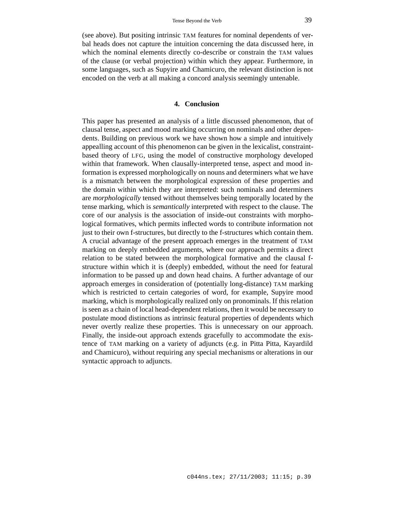(see above). But positing intrinsic TAM features for nominal dependents of verbal heads does not capture the intuition concerning the data discussed here, in which the nominal elements directly co-describe or constrain the TAM values of the clause (or verbal projection) within which they appear. Furthermore, in some languages, such as Supyire and Chamicuro, the relevant distinction is not encoded on the verb at all making a concord analysis seemingly untenable.

# **4. Conclusion**

This paper has presented an analysis of a little discussed phenomenon, that of clausal tense, aspect and mood marking occurring on nominals and other dependents. Building on previous work we have shown how a simple and intuitively appealling account of this phenomenon can be given in the lexicalist, constraintbased theory of LFG, using the model of constructive morphology developed within that framework. When clausally-interpreted tense, aspect and mood information is expressed morphologically on nouns and determiners what we have is a mismatch between the morphological expression of these properties and the domain within which they are interpreted: such nominals and determiners are *morphologically* tensed without themselves being temporally located by the tense marking, which is *semantically* interpreted with respect to the clause. The core of our analysis is the association of inside-out constraints with morphological formatives, which permits inflected words to contribute information not just to their own f-structures, but directly to the f-structures which contain them. A crucial advantage of the present approach emerges in the treatment of TAM marking on deeply embedded arguments, where our approach permits a direct relation to be stated between the morphological formative and the clausal fstructure within which it is (deeply) embedded, without the need for featural information to be passed up and down head chains. A further advantage of our approach emerges in consideration of (potentially long-distance) TAM marking which is restricted to certain categories of word, for example, Supyire mood marking, which is morphologically realized only on pronominals. If this relation is seen as a chain of local head-dependent relations, then it would be necessary to postulate mood distinctions as intrinsic featural properties of dependents which never overtly realize these properties. This is unnecessary on our approach. Finally, the inside-out approach extends gracefully to accommodate the existence of TAM marking on a variety of adjuncts (e.g. in Pitta Pitta, Kayardild and Chamicuro), without requiring any special mechanisms or alterations in our syntactic approach to adjuncts.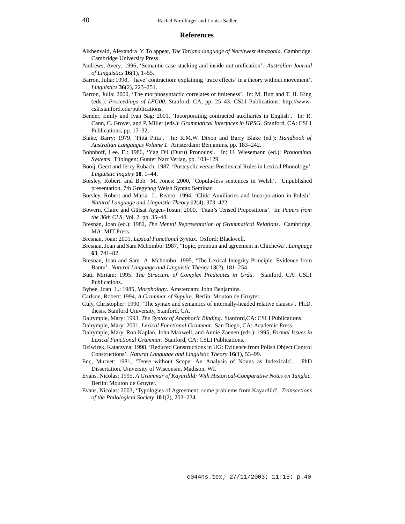#### **References**

- Aikhenvald, Alexandra Y. To appear, *The Tariana language of Northwest Amazonia*. Cambridge: Cambridge University Press.
- Andrews, Avery: 1996, 'Semantic case-stacking and inside-out unification'. *Australian Journal of Linguistics* **16**(1), 1–55.
- Barron, Julia: 1998, ''have' contraction: explaining 'trace effects' in a theory without movement'. *Linguistics* **36**(2), 223–251.
- Barron, Julia: 2000, 'The morphosyntactic correlates of finiteness'. In: M. Butt and T. H. King (eds.): *Proceedings of LFG00*. Stanford, CA, pp. 25–43, CSLI Publications: http://wwwcsli.stanford.edu/publications.
- Bender, Emily and Ivan Sag: 2001, 'Incorporating contracted auxiliaries in English'. In: R. Cann, C. Grover, and P. Miller (eds.): *Grammatical Interfaces in HPSG*. Stanford, CA: CSLI Publications, pp. 17–32.
- Blake, Barry: 1979, 'Pitta Pitta'. In: R.M.W. Dixon and Barry Blake (ed.): *Handbook of Australian Languages Volume 1*. Amsterdam: Benjamins, pp. 183–242.
- Bohnhoff, Lee. E.: 1986, 'Yag Dii (Duru) Pronouns'. In: U. Wiesemann (ed.): *Pronominal* Systems. Tübingen: Gunter Narr Verlag, pp. 103-129.
- Booij, Geert and Jerzy Rubach: 1987, 'Postcyclic versus Postlexical Rules in Lexical Phonology'. *Linguistic Inquiry* **18**, 1–44.
- Borsley, Robert. and Bob M. Jones: 2000, 'Copula-less sentences in Welsh'. Unpublished presentation, 7th Gregynog Welsh Syntax Seminar.
- Borsley, Robert and Maria L. Rivero: 1994, 'Clitic Auxiliaries and Incorporation in Polish'. *Natural Language and Linguistic Theory* **12**(4), 373–422.
- Bowern, Claire and Gülsat Aygen-Tosun: 2000, 'Titan's Tensed Prepositions'. In: Papers from *the 36th CLS*, Vol. 2. pp. 35–48.
- Bresnan, Joan (ed.): 1982, *The Mental Representation of Grammatical Relations*. Cambridge, MA: MIT Press.
- Bresnan, Joan: 2001, *Lexical Functional Syntax*. Oxford: Blackwell.
- Bresnan, Joan and Sam Mchombo: 1987, 'Topic, pronoun and agreement in Chichewa'. *Language* **63**, 741–82.
- Bresnan, Joan and Sam A. Mchombo: 1995, 'The Lexical Integrity Principle: Evidence from Bantu'. *Natural Language and Linguistic Theory* **13**(2), 181–254.
- Butt, Miriam: 1995, *The Structure of Complex Predicates in Urdu*. Stanford, CA: CSLI Publications.
- Bybee, Joan L.: 1985, *Morphology*. Amsterdam: John Benjamins.
- Carlson, Robert: 1994, *A Grammar of Supyire*. Berlin: Mouton de Gruyter.
- Culy, Christopher: 1990, 'The syntax and semantics of internally-headed relative clauses'. Ph.D. thesis, Stanford University, Stanford, CA.
- Dalrymple, Mary: 1993, *The Syntax of Anaphoric Binding*. Stanford,CA: CSLI Publications.
- Dalrymple, Mary: 2001, *Lexical Functional Grammar*. San Diego, CA: Academic Press.
- Dalrymple, Mary, Ron Kaplan, John Maxwell, and Annie Zaenen (eds.): 1995, *Formal Issues in Lexical Functional Grammar*. Stanford, CA: CSLI Publications.
- Dziwirek, Katarzyna: 1998, 'Reduced Constructions in UG: Evidence from Polish Object Control Constructions'. *Natural Language and Linguistic Theory* **16**(1), 53–99.
- Enc¸, Murvet: 1981, 'Tense without Scope: An Analysis of Nouns as Indexicals'. PhD Dissertation, University of Wisconsin, Madison, WI.
- Evans, Nicolas: 1995, *A Grammar of Kayardild: With Historical-Comparative Notes on Tangkic*. Berlin: Mouton de Gruyter.
- Evans, Nicolas: 2003, 'Typologies of Agreement: some problems from Kayardild'. *Transactions of the Philological Society* **101**(2), 203–234.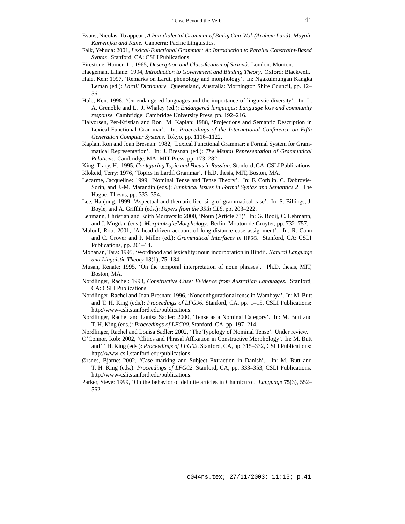- Evans, Nicolas: To appear , *A Pan-dialectal Grammar of Bininj Gun-Wok (Arnhem Land): Mayali, Kunwinjku and Kune*. Canberra: Pacific Linguistics.
- Falk, Yehuda: 2001, *Lexical-Functional Grammar: An Introduction to Parallel Constraint-Based Syntax*. Stanford, CA: CSLI Publications.
- Firestone, Homer L.: 1965, *Description and Classification of Siriono´*. London: Mouton.

- Hale, Ken: 1997, 'Remarks on Lardil phonology and morphology'. In: Ngakulmungan Kangka Leman (ed.): *Lardil Dictionary*. Queensland, Australia: Mornington Shire Council, pp. 12– 56.
- Hale, Ken: 1998, 'On endangered languages and the importance of linguistic diversity'. In: L. A. Grenoble and L. J. Whaley (ed.): *Endangered languages: Language loss and community response*. Cambridge: Cambridge University Press, pp. 192–216.
- Halvorsen, Per-Kristian and Ron M. Kaplan: 1988, 'Projections and Semantic Description in Lexical-Functional Grammar'. In: *Proceedings of the International Conference on Fifth Generation Computer Systems*. Tokyo, pp. 1116–1122.
- Kaplan, Ron and Joan Bresnan: 1982, 'Lexical Functional Grammar: a Formal System for Grammatical Representation'. In: J. Bresnan (ed.): *The Mental Representation of Grammatical Relations*. Cambridge, MA: MIT Press, pp. 173–282.
- King, Tracy. H.: 1995, *Configuring Topic and Focus in Russian*. Stanford, CA: CSLI Publications.
- Klokeid, Terry: 1976, 'Topics in Lardil Grammar'. Ph.D. thesis, MIT, Boston, MA.
- Lecarme, Jacqueline: 1999, 'Nominal Tense and Tense Theory'. In: F. Corblin, C. Dobrovie-Sorin, and J.-M. Marandin (eds.): *Empirical Issues in Formal Syntax and Semantics 2*. The Hague: Thesus, pp. 333–354.
- Lee, Hanjung: 1999, 'Aspectual and thematic licensing of grammatical case'. In: S. Billings, J. Boyle, and A. Griffith (eds.): *Papers from the 35th CLS*. pp. 203–222.
- Lehmann, Christian and Edith Moravcsik: 2000, 'Noun (Article 73)'. In: G. Booij, C. Lehmann, and J. Mugdan (eds.): *Morphologie/Morphology*. Berlin: Mouton de Gruyter, pp. 732–757.
- Malouf, Rob: 2001, 'A head-driven account of long-distance case assignment'. In: R. Cann and C. Grover and P. Miller (ed.): *Grammatical Interfaces in* HPSG. Stanford, CA: CSLI Publications, pp. 201–14.
- Mohanan, Tara: 1995, 'Wordhood and lexicality: noun incorporation in Hindi'. *Natural Language and Linguistic Theory* **13**(1), 75–134.
- Musan, Renate: 1995, 'On the temporal interpretation of noun phrases'. Ph.D. thesis, MIT, Boston, MA.
- Nordlinger, Rachel: 1998, *Constructive Case: Evidence from Australian Languages*. Stanford, CA: CSLI Publications.
- Nordlinger, Rachel and Joan Bresnan: 1996, 'Nonconfigurational tense in Wambaya'. In: M. Butt and T. H. King (eds.): *Proceedings of LFG96*. Stanford, CA, pp. 1–15, CSLI Publications: http://www-csli.stanford.edu/publications.
- Nordlinger, Rachel and Louisa Sadler: 2000, 'Tense as a Nominal Category'. In: M. Butt and T. H. King (eds.): *Proceedings of LFG00*. Stanford, CA, pp. 197–214.
- Nordlinger, Rachel and Louisa Sadler: 2002, 'The Typology of Nominal Tense'. Under review.
- O'Connor, Rob: 2002, 'Clitics and Phrasal Affixation in Constructive Morphology'. In: M. Butt and T. H. King (eds.): *Proceedings of LFG02*. Stanford, CA, pp. 315–332, CSLI Publications: http://www-csli.stanford.edu/publications.
- Ørsnes, Bjarne: 2002, 'Case marking and Subject Extraction in Danish'. In: M. Butt and T. H. King (eds.): *Proceedings of LFG02*. Stanford, CA, pp. 333–353, CSLI Publications: http://www-csli.stanford.edu/publications.
- Parker, Steve: 1999, 'On the behavior of definite articles in Chamicuro'. *Language* **75**(3), 552– 562.

Haegeman, Liliane: 1994, *Introduction to Government and Binding Theory*. Oxford: Blackwell.